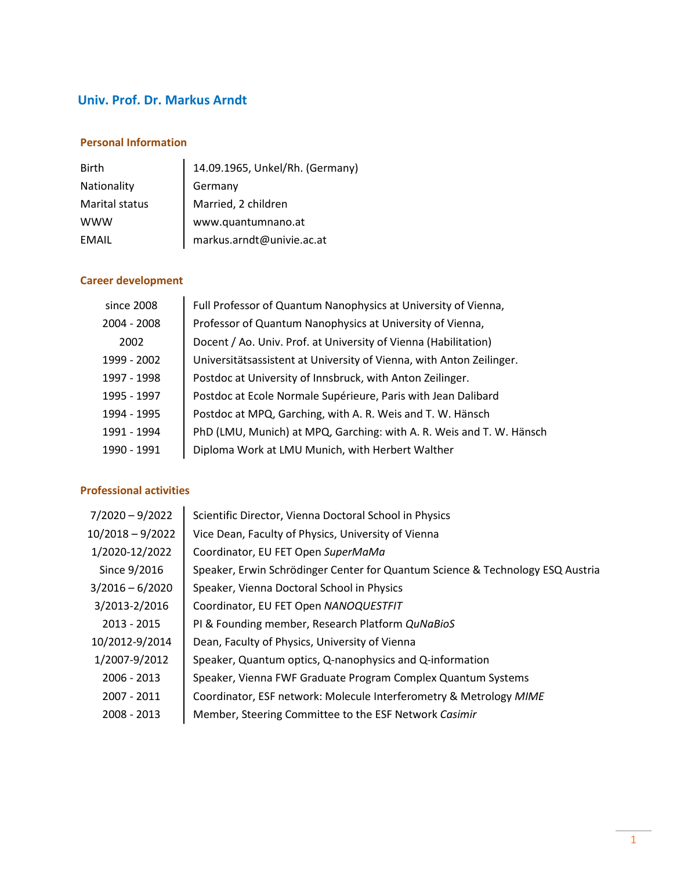# **Univ. Prof. Dr. Markus Arndt**

## **Personal Information**

| <b>Birth</b>       | 14.09.1965, Unkel/Rh. (Germany) |
|--------------------|---------------------------------|
| <b>Nationality</b> | Germany                         |
| Marital status     | Married, 2 children             |
| <b>WWW</b>         | www.quantumnano.at              |
| EMAIL              | markus.arndt@univie.ac.at       |

## **Career development**

| since 2008  | Full Professor of Quantum Nanophysics at University of Vienna,       |
|-------------|----------------------------------------------------------------------|
| 2004 - 2008 | Professor of Quantum Nanophysics at University of Vienna,            |
| 2002        | Docent / Ao. Univ. Prof. at University of Vienna (Habilitation)      |
| 1999 - 2002 | Universitätsassistent at University of Vienna, with Anton Zeilinger. |
| 1997 - 1998 | Postdoc at University of Innsbruck, with Anton Zeilinger.            |
| 1995 - 1997 | Postdoc at Ecole Normale Supérieure, Paris with Jean Dalibard        |
| 1994 - 1995 | Postdoc at MPQ, Garching, with A. R. Weis and T. W. Hänsch           |
| 1991 - 1994 | PhD (LMU, Munich) at MPQ, Garching: with A. R. Weis and T. W. Hänsch |
| 1990 - 1991 | Diploma Work at LMU Munich, with Herbert Walther                     |
|             |                                                                      |

### **Professional activities**

| $7/2020 - 9/2022$ | Scientific Director, Vienna Doctoral School in Physics                         |
|-------------------|--------------------------------------------------------------------------------|
| 10/2018 - 9/2022  | Vice Dean, Faculty of Physics, University of Vienna                            |
| 1/2020-12/2022    | Coordinator, EU FET Open SuperMaMa                                             |
| Since 9/2016      | Speaker, Erwin Schrödinger Center for Quantum Science & Technology ESQ Austria |
| $3/2016 - 6/2020$ | Speaker, Vienna Doctoral School in Physics                                     |
| 3/2013-2/2016     | Coordinator, EU FET Open NANOQUESTFIT                                          |
| $2013 - 2015$     | PI & Founding member, Research Platform QuNaBioS                               |
| 10/2012-9/2014    | Dean, Faculty of Physics, University of Vienna                                 |
| 1/2007-9/2012     | Speaker, Quantum optics, Q-nanophysics and Q-information                       |
| 2006 - 2013       | Speaker, Vienna FWF Graduate Program Complex Quantum Systems                   |
| 2007 - 2011       | Coordinator, ESF network: Molecule Interferometry & Metrology MIME             |
| 2008 - 2013       | Member, Steering Committee to the ESF Network Casimir                          |
|                   |                                                                                |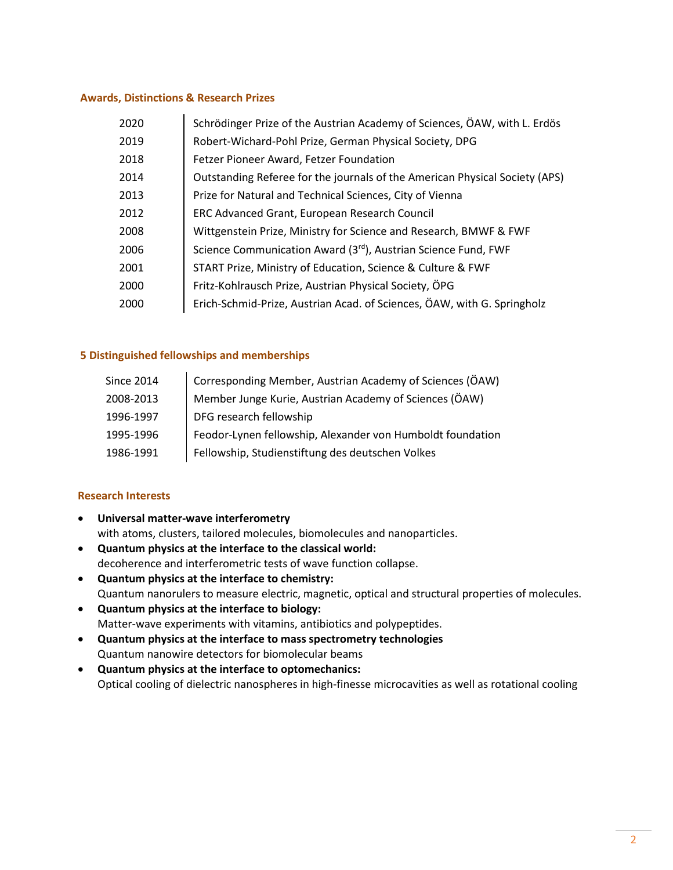#### **Awards, Distinctions & Research Prizes**

| 2020 | Schrödinger Prize of the Austrian Academy of Sciences, ÖAW, with L. Erdös   |
|------|-----------------------------------------------------------------------------|
| 2019 | Robert-Wichard-Pohl Prize, German Physical Society, DPG                     |
| 2018 | Fetzer Pioneer Award, Fetzer Foundation                                     |
| 2014 | Outstanding Referee for the journals of the American Physical Society (APS) |
| 2013 | Prize for Natural and Technical Sciences, City of Vienna                    |
| 2012 | ERC Advanced Grant, European Research Council                               |
| 2008 | Wittgenstein Prize, Ministry for Science and Research, BMWF & FWF           |
| 2006 | Science Communication Award (3rd), Austrian Science Fund, FWF               |
| 2001 | START Prize, Ministry of Education, Science & Culture & FWF                 |
| 2000 | Fritz-Kohlrausch Prize, Austrian Physical Society, ÖPG                      |
| 2000 | Erich-Schmid-Prize, Austrian Acad. of Sciences, ÖAW, with G. Springholz     |

#### **5 Distinguished fellowships and memberships**

| <b>Since 2014</b> | Corresponding Member, Austrian Academy of Sciences (ÖAW)   |
|-------------------|------------------------------------------------------------|
| 2008-2013         | Member Junge Kurie, Austrian Academy of Sciences (ÖAW)     |
| 1996-1997         | DFG research fellowship                                    |
| 1995-1996         | Feodor-Lynen fellowship, Alexander von Humboldt foundation |
| 1986-1991         | Fellowship, Studienstiftung des deutschen Volkes           |

#### **Research Interests**

- **Universal matter-wave interferometry** with atoms, clusters, tailored molecules, biomolecules and nanoparticles.
- **Quantum physics at the interface to the classical world:**  decoherence and interferometric tests of wave function collapse.
- **Quantum physics at the interface to chemistry:** Quantum nanorulers to measure electric, magnetic, optical and structural properties of molecules.
- **Quantum physics at the interface to biology:** Matter-wave experiments with vitamins, antibiotics and polypeptides.
- **Quantum physics at the interface to mass spectrometry technologies** Quantum nanowire detectors for biomolecular beams
- **Quantum physics at the interface to optomechanics:** Optical cooling of dielectric nanospheres in high-finesse microcavities as well as rotational cooling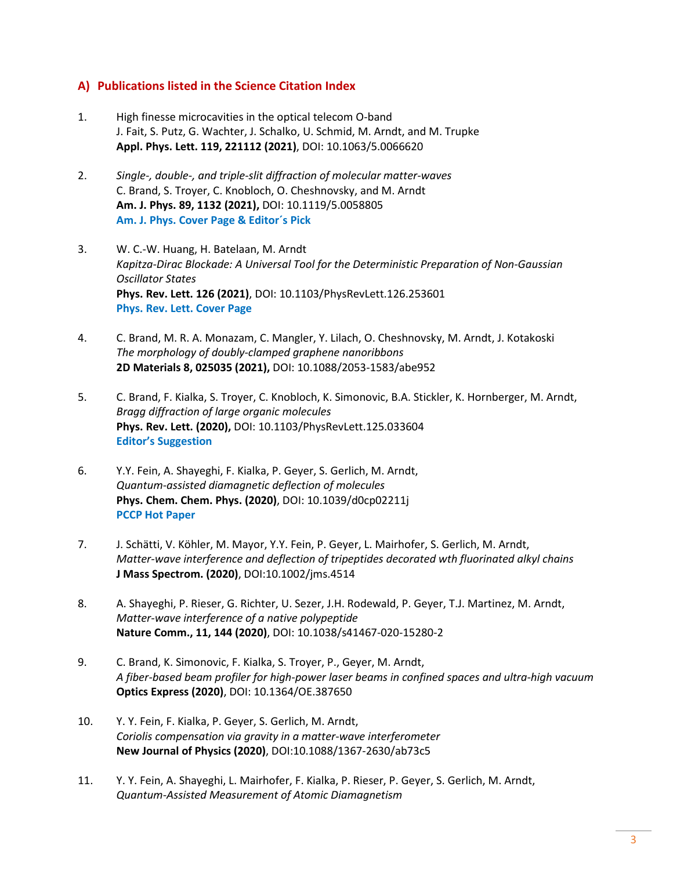### **A) Publications listed in the Science Citation Index**

- 1. High finesse microcavities in the optical telecom O-band J. Fait, S. Putz, G. Wachter, J. Schalko, U. Schmid, M. Arndt, and M. Trupke **Appl. Phys. Lett. 119, 221112 (2021)**, DOI: 10.1063/5.0066620
- 2. *Single-, double-, and triple-slit diffraction of molecular matter-waves* C. Brand, S. Troyer, C. Knobloch, O. Cheshnovsky, and M. Arndt **Am. J. Phys. 89, 1132 (2021),** DOI: 10.1119/5.0058805 **Am. J. Phys. Cover Page & Editor´s Pick**
- 3. W. C.-W. Huang, H. Batelaan, M. Arndt *Kapitza-Dirac Blockade: A Universal Tool for the Deterministic Preparation of Non-Gaussian Oscillator States* **Phys. Rev. Lett. 126 (2021)**, DOI: 10.1103/PhysRevLett.126.253601 **Phys. Rev. Lett. Cover Page**
- 4. C. Brand, M. R. A. Monazam, C. Mangler, Y. Lilach, O. Cheshnovsky, M. Arndt, J. Kotakoski *The morphology of doubly-clamped graphene nanoribbons* **2D Materials 8, 025035 (2021),** DOI: 10.1088/2053-1583/abe952
- 5. C. Brand, F. Kialka, S. Troyer, C. Knobloch, K. Simonovic, B.A. Stickler, K. Hornberger, M. Arndt, *Bragg diffraction of large organic molecules* **Phys. Rev. Lett. (2020),** DOI: 10.1103/PhysRevLett.125.033604 **Editor's Suggestion**
- 6. Y.Y. Fein, A. Shayeghi, F. Kialka, P. Geyer, S. Gerlich, M. Arndt, *Quantum-assisted diamagnetic deflection of molecules* **Phys. Chem. Chem. Phys. (2020)**, DOI: 10.1039/d0cp02211j **PCCP Hot Paper**
- 7. J. Schätti, V. Köhler, M. Mayor, Y.Y. Fein, P. Geyer, L. Mairhofer, S. Gerlich, M. Arndt, *Matter-wave interference and deflection of tripeptides decorated wth fluorinated alkyl chains* **J Mass Spectrom. (2020)**, DOI:10.1002/jms.4514
- 8. A. Shayeghi, P. Rieser, G. Richter, U. Sezer, J.H. Rodewald, P. Geyer, T.J. Martinez, M. Arndt, *Matter-wave interference of a native polypeptide* **Nature Comm., 11, 144 (2020)**, DOI: 10.1038/s41467-020-15280-2
- 9. C. Brand, K. Simonovic, F. Kialka, S. Troyer, P., Geyer, M. Arndt, *A fiber-based beam profiler for high-power laser beams in confined spaces and ultra-high vacuum* **Optics Express (2020)**, DOI: 10.1364/OE.387650
- 10. Y. Y. Fein, F. Kialka, P. Geyer, S. Gerlich, M. Arndt, *Coriolis compensation via gravity in a matter-wave interferometer* **New Journal of Physics (2020)**, DOI:10.1088/1367-2630/ab73c5
- 11. Y. Y. Fein, A. Shayeghi, L. Mairhofer, F. Kialka, P. Rieser, P. Geyer, S. Gerlich, M. Arndt, *Quantum-Assisted Measurement of Atomic Diamagnetism*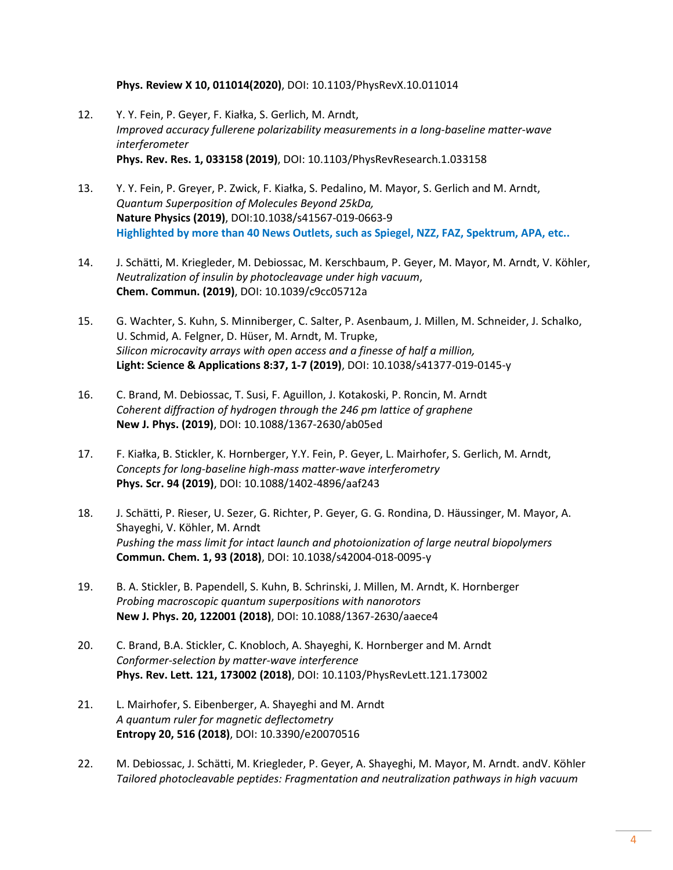#### **Phys. Review X 10, 011014(2020)**, DOI: 10.1103/PhysRevX.10.011014

- 12. Y. Y. Fein, P. Geyer, F. Kiałka, S. Gerlich, M. Arndt, *Improved accuracy fullerene polarizability measurements in a long-baseline matter-wave interferometer* **Phys. Rev. Res. 1, 033158 (2019)**, DOI: 10.1103/PhysRevResearch.1.033158
- 13. Y. Y. Fein, P. Greyer, P. Zwick, F. Kiałka, S. Pedalino, M. Mayor, S. Gerlich and M. Arndt, *Quantum Superposition of Molecules Beyond 25kDa,* **Nature Physics (2019)**, DOI:10.1038/s41567-019-0663-9 **Highlighted by more than 40 News Outlets, such as Spiegel, NZZ, FAZ, Spektrum, APA, etc..**
- 14. J. Schätti, M. Kriegleder, M. Debiossac, M. Kerschbaum, P. Geyer, M. Mayor, M. Arndt, V. Köhler, *Neutralization of insulin by photocleavage under high vacuum*, **Chem. Commun. (2019)**, DOI: 10.1039/c9cc05712a
- 15. G. Wachter, S. Kuhn, S. Minniberger, C. Salter, P. Asenbaum, J. Millen, M. Schneider, J. Schalko, U. Schmid, A. Felgner, D. Hüser, M. Arndt, M. Trupke, *Silicon microcavity arrays with open access and a finesse of half a million,* **Light: Science & Applications 8:37, 1-7 (2019)**, DOI: 10.1038/s41377-019-0145-y
- 16. C. Brand, M. Debiossac, T. Susi, F. Aguillon, J. Kotakoski, P. Roncin, M. Arndt *Coherent diffraction of hydrogen through the 246 pm lattice of graphene* **New J. Phys. (2019)**, DOI: 10.1088/1367-2630/ab05ed
- 17. F. Kiałka, B. Stickler, K. Hornberger, Y.Y. Fein, P. Geyer, L. Mairhofer, S. Gerlich, M. Arndt, *Concepts for long-baseline high-mass matter-wave interferometry* **Phys. Scr. 94 (2019)**, DOI: 10.1088/1402-4896/aaf243
- 18. J. Schätti, P. Rieser, U. Sezer, G. Richter, P. Geyer, G. G. Rondina, D. Häussinger, M. Mayor, A. Shayeghi, V. Köhler, M. Arndt *Pushing the mass limit for intact launch and photoionization of large neutral biopolymers* **Commun. Chem. 1, 93 (2018)**, DOI: 10.1038/s42004-018-0095-y
- 19. B. A. Stickler, B. Papendell, S. Kuhn, B. Schrinski, J. Millen, M. Arndt, K. Hornberger *Probing macroscopic quantum superpositions with nanorotors* **New J. Phys. 20, 122001 (2018)**, DOI: 10.1088/1367-2630/aaece4
- 20. C. Brand, B.A. Stickler, C. Knobloch, A. Shayeghi, K. Hornberger and M. Arndt *Conformer-selection by matter-wave interference* **Phys. Rev. Lett. 121, 173002 (2018)**, DOI: 10.1103/PhysRevLett.121.173002
- 21. L. Mairhofer, S. Eibenberger, A. Shayeghi and M. Arndt *A quantum ruler for magnetic deflectometry* **Entropy 20, 516 (2018)**, DOI: 10.3390/e20070516
- 22. M. Debiossac, J. Schätti, M. Kriegleder, P. Geyer, A. Shayeghi, M. Mayor, M. Arndt. andV. Köhler *Tailored photocleavable peptides: Fragmentation and neutralization pathways in high vacuum*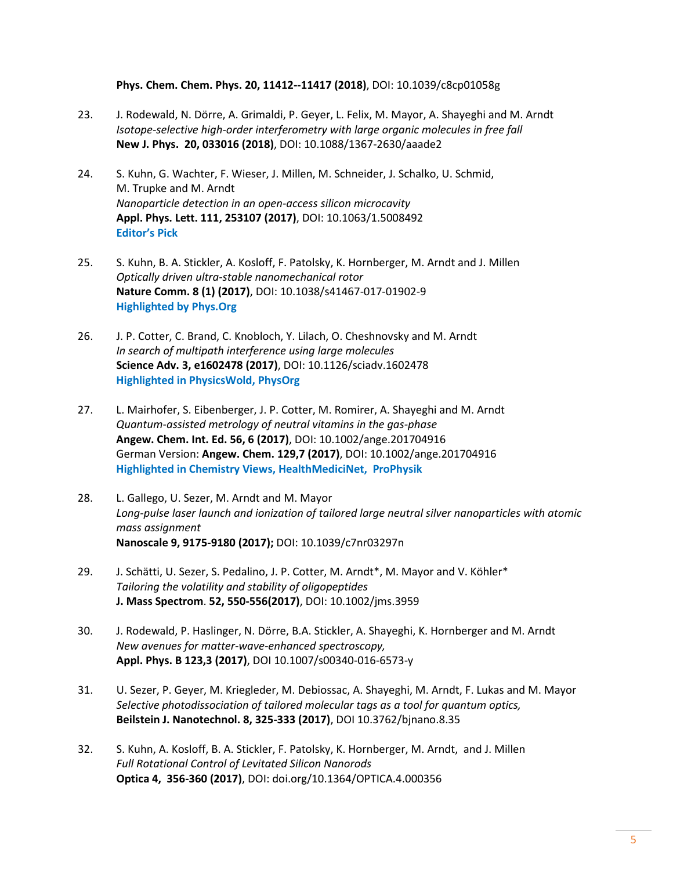#### **Phys. Chem. Chem. Phys. 20, 11412--11417 (2018)**, DOI: 10.1039/c8cp01058g

- 23. J. Rodewald, N. Dörre, A. Grimaldi, P. Geyer, L. Felix, M. Mayor, A. Shayeghi and M. Arndt *[Isotope-selective high-order interferometry with large organic molecules in free fall](http://doi.org/10.1088/1367-2630/aaade2)* **New J. Phys. 20, 033016 (2018)**, DOI: 10.1088/1367-2630/aaade2
- 24. S. Kuhn, G. Wachter, F. Wieser, J. Millen, M. Schneider, J. Schalko, U. Schmid, M. Trupke and M. Arndt *Nanoparticle detection in an open-access silicon microcavity* **Appl. Phys. Lett. 111, 253107 (2017)**, DOI: 10.1063/1.5008492 **Editor's Pick**
- 25. S. Kuhn, B. A. Stickler, A. Kosloff, F. Patolsky, K. Hornberger, M. Arndt and J. Millen *Optically driven ultra-stable nanomechanical rotor* **Nature Comm. 8 (1) (2017)**, DOI: 10.1038/s41467-017-01902-9 **Highlighted by Phys.Org**
- 26. J. P. Cotter, C. Brand, C. Knobloch, Y. Lilach, O. Cheshnovsky and M. Arndt *In search of multipath interference using large molecules* **Science Adv. 3, e1602478 (2017)**, DOI: 10.1126/sciadv.1602478 **Highlighted in PhysicsWold, PhysOrg**
- 27. L. Mairhofer, S. Eibenberger, J. P. Cotter, M. Romirer, A. Shayeghi and M. Arndt *Quantum-assisted metrology of neutral vitamins in the gas-phase* **Angew. Chem. Int. Ed. 56, 6 (2017)**, DOI: 10.1002/ange.201704916 German Version: **Angew. Chem. 129,7 (2017)**, DOI: 10.1002/ange.201704916 **Highlighted in [Chemistry Views, HealthMediciNet, P](http://healthmedicinet.com/i/quantum-ruler-for-biomolecules/)roPhysik**
- 28. L. Gallego, U. Sezer, M. Arndt and M. Mayor *Long-pulse laser launch and ionization of tailored large neutral silver nanoparticles with atomic mass assignment* **Nanoscale 9, 9175-9180 (2017);** DOI: 10.1039/c7nr03297n
- 29. J. Schätti, U. Sezer, S. Pedalino, J. P. Cotter, M. Arndt\*, M. Mayor and V. Köhler\* *Tailoring the volatility and stability of oligopeptides* **J. Mass Spectrom**. **52, 550-556(2017)**, DOI: 10.1002/jms.3959
- 30. J. Rodewald, P. Haslinger, N. Dörre, B.A. Stickler, A. Shayeghi, K. Hornberger and M. Arndt *New avenues for matter-wave-enhanced spectroscopy,*  **Appl. Phys. B 123,3 (2017)**, DOI 10.1007/s00340-016-6573-y
- 31. U. Sezer, P. Geyer, M. Kriegleder, M. Debiossac, A. Shayeghi, M. Arndt, F. Lukas and M. Mayor *Selective photodissociation of tailored molecular tags as a tool for quantum optics,*  **Beilstein J. Nanotechnol. 8, 325-333 (2017)**, DOI 10.3762/bjnano.8.35
- 32. S. Kuhn, A. Kosloff, B. A. Stickler, F. Patolsky, K. Hornberger, M. Arndt, and J. Millen *Full Rotational Control of Levitated Silicon Nanorods* **[Optica 4, 356-360 \(2017\)](https://www.osapublishing.org/optica/abstract.cfm?uri=optica-4-3-356)**, DOI: doi.org/10.1364/OPTICA.4.000356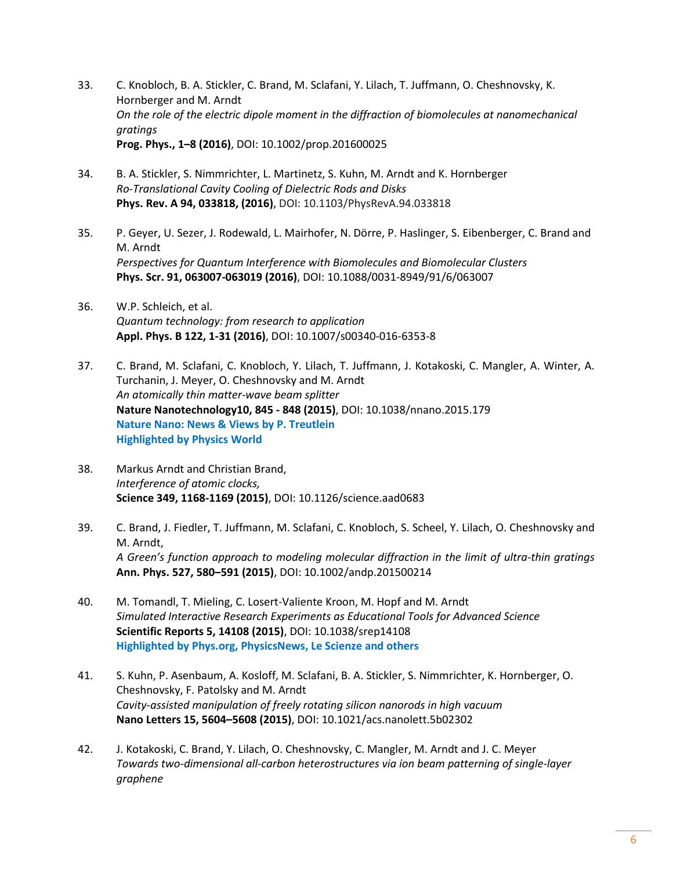- 33. C. Knobloch, B. A. Stickler, C. Brand, M. Sclafani, Y. Lilach, T. Juffmann, O. Cheshnovsky, K. Hornberger and M. Arndt *On the role of the electric dipole moment in the diffraction of biomolecules at nanomechanical gratings*  **Prog. Phys., 1–8 (2016)**, DOI: 10.1002/prop.201600025
- 34. B. A. Stickler, S. Nimmrichter, L. Martinetz, S. Kuhn, M. Arndt and K. Hornberger *Ro-Translational Cavity Cooling of Dielectric Rods and Disks* **Phys. Rev. A 94, 033818, (2016)**, DOI: 10.1103/PhysRevA.94.033818
- 35. P. Geyer, U. Sezer, J. Rodewald, L. Mairhofer, N. Dörre, P. Haslinger, S. Eibenberger, C. Brand and M. Arndt *Perspectives for Quantum Interference with Biomolecules and Biomolecular Clusters* **Phys. Scr. 91, 063007-063019 (2016)**, DOI: 10.1088/0031-8949/91/6/063007
- 36. W.P. Schleich, et al. *Quantum technology: from research to application* **Appl. Phys. B 122, 1-31 (2016)**, DOI: 10.1007/s00340-016-6353-8
- 37. C. Brand, M. Sclafani, C. Knobloch, Y. Lilach, T. Juffmann, J. Kotakoski, C. Mangler, A. Winter, A. Turchanin, J. Meyer, O. Cheshnovsky and M. Arndt *An atomically thin matter-wave beam splitter* **Nature Nanotechnology10, 845 - 848 (2015)**, DOI: 10.1038/nnano.2015.179 **Nature Nano: News & Views by P. Treutlein Highlighted by Physics World**
- 38. Markus Arndt and Christian Brand, *Interference of atomic clocks,* **Science 349, 1168-1169 (2015)**, DOI: 10.1126/science.aad0683
- 39. C. Brand, J. Fiedler, T. Juffmann, M. Sclafani, C. Knobloch, S. Scheel, Y. Lilach, O. Cheshnovsky and M. Arndt, *A Green's function approach to modeling molecular diffraction in the limit of ultra-thin gratings* **Ann. Phys. 527, 580–591 (2015)**, DOI: 10.1002/andp.201500214
- 40. M. Tomandl, T. Mieling, C. Losert-Valiente Kroon, M. Hopf and M. Arndt *Simulated Interactive Research Experiments as Educational Tools for Advanced Science* **Scientific Reports 5, 14108 (2015)**, DOI: 10.1038/srep14108 **Highlighted by Phys.org, PhysicsNews, Le Scienze and others**
- 41. S. Kuhn, P. Asenbaum, A. Kosloff, M. Sclafani, B. A. Stickler, S. Nimmrichter, K. Hornberger, O. Cheshnovsky, F. Patolsky and M. Arndt *Cavity-assisted manipulation of freely rotating silicon nanorods in high vacuum* **Nano Letters 15, 5604–5608 (2015)**, DOI: 10.1021/acs.nanolett.5b02302
- 42. J. Kotakoski, C. Brand, Y. Lilach, O. Cheshnovsky, C. Mangler, M. Arndt and J. C. Meyer *Towards two-dimensional all-carbon heterostructures via ion beam patterning of single-layer graphene*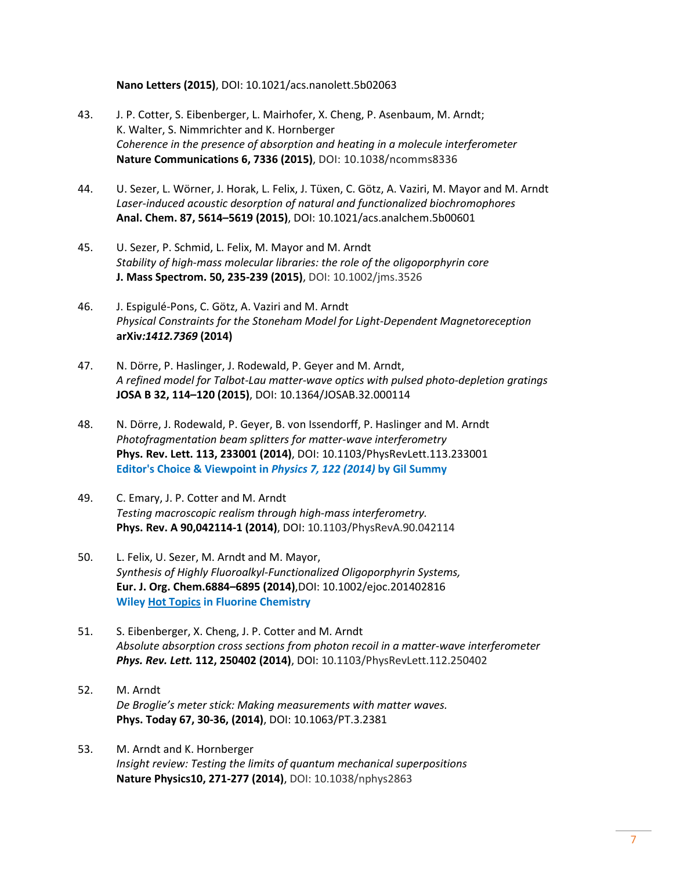#### **Nano Letters (2015)**, DOI: 10.1021/acs.nanolett.5b02063

- 43. J. P. Cotter, S. Eibenberger, L. Mairhofer, X. Cheng, P. Asenbaum, M. Arndt; K. Walter, S. Nimmrichter and K. Hornberger *Coherence in the presence of absorption and heating in a molecule interferometer* **Nature Communications 6, 7336 (2015)**, DOI: 10.1038/ncomms8336
- 44. U. Sezer, L. Wörner, J. Horak, L. Felix, J. Tüxen, C. Götz, A. Vaziri, M. Mayor and M. Arndt *Laser-induced acoustic desorption of natural and functionalized biochromophores* **Anal. Chem. 87, 5614–5619 (2015)**, DOI: 10.1021/acs.analchem.5b00601
- 45. U. Sezer, P. Schmid, L. Felix, M. Mayor and M. Arndt *Stability of high-mass molecular libraries: the role of the oligoporphyrin core* **J. Mass Spectrom. 50, 235-239 (2015)**, DOI: 10.1002/jms.3526
- 46. J. Espigulé-Pons, C. Götz, A. Vaziri and M. Arndt *Physical Constraints for the Stoneham Model for Light-Dependent Magnetoreception*  **arXiv***:1412.7369* **(2014)**
- 47. N. Dörre, P. Haslinger, J. Rodewald, P. Geyer and M. Arndt, *A refined model for Talbot-Lau matter-wave optics with pulsed photo-depletion gratings* **JOSA B 32, 114–120 (2015)**, DOI: 10.1364/JOSAB.32.000114
- 48. N. Dörre, J. Rodewald, P. Geyer, B. von Issendorff, P. Haslinger and M. Arndt *Photofragmentation beam splitters for matter-wave interferometry* **Phys. Rev. Lett. 113, 233001 (2014)**, DOI: 10.1103/PhysRevLett.113.233001 **Editor's Choice & Viewpoint in** *[Physics 7, 122 \(2014\)](http://physics.aps.org/articles/v7/122?referer=rss)* **by Gil Summy**
- 49. C. Emary, J. P. Cotter and M. Arndt *Testing macroscopic realism through high-mass interferometry.* **Phys. Rev. A 90,042114-1 (2014)**, DOI: 10.1103/PhysRevA.90.042114
- 50. L. Felix, U. Sezer, M. Arndt and M. Mayor, *Synthesis of Highly Fluoroalkyl-Functionalized Oligoporphyrin Systems,* **Eur. J. Org. Chem.6884–6895 (2014)**,DOI: 10.1002/ejoc.201402816 **Wile[y Hot Topics](http://www.wiley-vch.de/util/hottopics/fluorine/) in Fluorine Chemistry**
- 51. S. Eibenberger, X. Cheng, J. P. Cotter and M. Arndt *Absolute absorption cross sections from photon recoil in a matter-wave interferometer Phys. Rev. Lett.* **112, 250402 (2014)**, DOI: 10.1103/PhysRevLett.112.250402
- 52. M. Arndt *De Broglie's meter stick: Making measurements with matter waves.*  **Phys. Today 67, 30-36, (2014)**, DOI: 10.1063/PT.3.2381
- 53. M. Arndt and K. Hornberger *Insight review: Testing the limits of quantum mechanical superpositions* **Nature Physics10, 271-277 (2014)**, DOI: 10.1038/nphys2863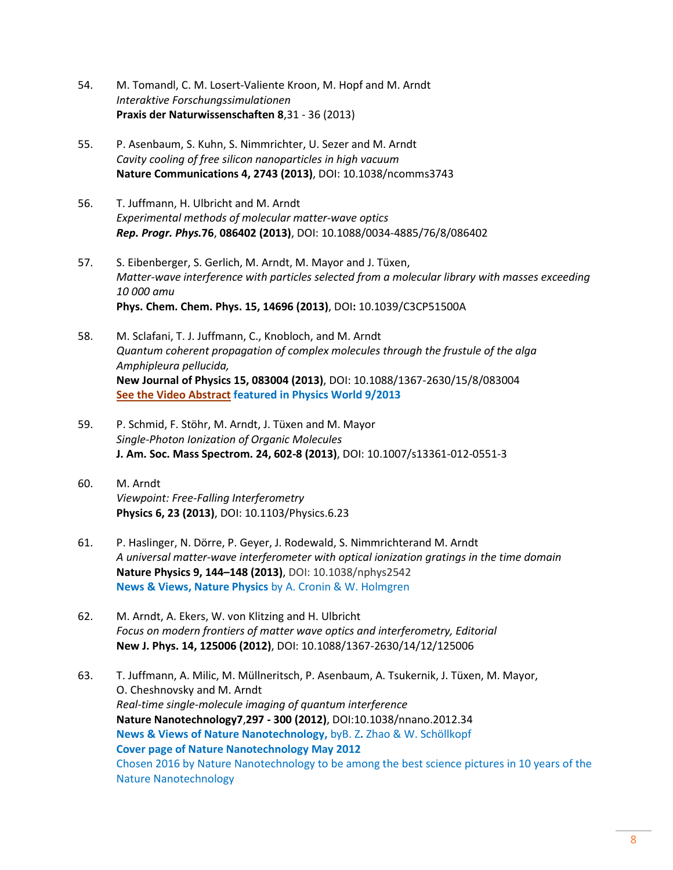- 54. M. Tomandl, C. M. Losert-Valiente Kroon, M. Hopf and M. Arndt *Interaktive Forschungssimulationen* **Praxis der Naturwissenschaften 8**,31 - 36 (2013)
- 55. P. Asenbaum, S. Kuhn, S. Nimmrichter, U. Sezer and M. Arndt *Cavity cooling of free silicon nanoparticles in high vacuum* **Nature Communications 4, 2743 (2013)**, DOI: 10.1038/ncomms3743
- 56. T. Juffmann, H. Ulbricht and M. Arndt *Experimental methods of molecular matter-wave optics Rep. Progr. Phys.***76**, **086402 (2013)**, DOI: 10.1088/0034-4885/76/8/08640[2](http://dx.doi.org/10.1088/0034-4885/76/8/086402)
- 57. S. Eibenberger, S. Gerlich, M. Arndt, M. Mayor and J. Tüxen, *Matter-wave interference with particles selected from a molecular library with masses exceeding 10 000 amu* **Phys. Chem. Chem. Phys. 15, 14696 (2013)**, DOI**:** 10.1039/C3CP51500A
- 58. M. Sclafani, T. J. Juffmann, C., Knobloch, and M. Arndt *[Quantum coherent propagation of complex molecules through the frustule of the alga](http://iopscience.iop.org/1367-2630/15/8/083004/)  [Amphipleura pellucida,](http://iopscience.iop.org/1367-2630/15/8/083004/)* **New Journal of Physics 15, 083004 (2013)**, DOI: 10.1088/1367-2630/15/8/083004 **[See the Video Abstract](http://iopscience.iop.org/1367-2630/15/8/083004/) featured in Physics World 9/2013**
- 59. P. Schmid, F. Stöhr, M. Arndt, J. Tüxen and M. Mayor *Single-Photon Ionization of Organic Molecules* **J. Am. Soc. Mass Spectrom. 24, 602-8 (2013)**, DOI: 10.1007/s13361-012-0551-3
- 60. M. Arndt *Viewpoint: Free-Falling Interferometry* **Physics 6, 23 (2013)**, DOI: 10.1103/Physics.6.23
- 61. P. Haslinger, N. Dörre, P. Geyer, J. Rodewald, S. Nimmrichterand M. Arndt *A universal matter-wave interferometer with optical ionization gratings in the time domain* **Nature Physics 9, 144–148 (2013)**, DOI: 10.1038/nphys2542 **News & Views, Nature Physics** by A. Cronin & W. Holmgren
- 62. M. Arndt, A. Ekers, W. von Klitzing and H. Ulbricht *Focus on modern frontiers of matter wave optics and interferometry, Editorial* **New J. Phys. 14, 125006 (2012)**, DOI: 10.1088/1367-2630/14/12/125006
- 63. T. Juffmann, A. Milic, M. Müllneritsch, P. Asenbaum, A. Tsukernik, J. Tüxen, M. Mayor, O. Cheshnovsky and M. Arndt *Real-time single-molecule imaging of quantum interference* **Nature Nanotechnology7**,**297 - 300 (2012)**, DOI:10.1038/nnano.2012.34 **News & Views of Nature Nanotechnology,** byB. Z**.** Zhao & W. Schöllkopf **Cover page of Nature Nanotechnology May 2012** Chosen 2016 by Nature Nanotechnology to be among the best science pictures in 10 years of the Nature Nanotechnology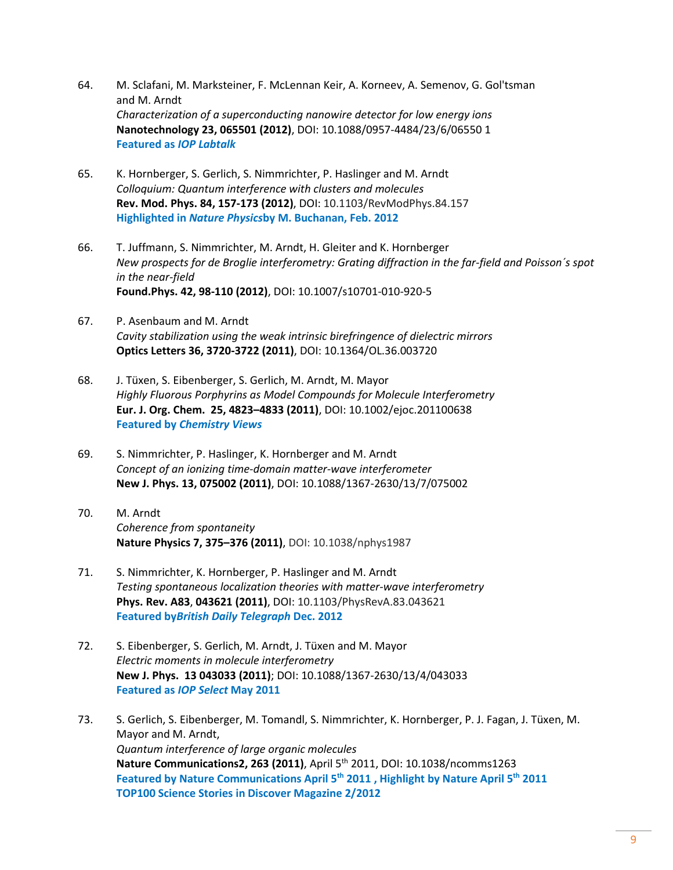- 64. M. Sclafani, M. Marksteiner, F. McLennan Keir, A. Korneev, A. Semenov, G. Gol'tsman and M. Arndt *Characterization of a superconducting nanowire detector for low energy ions* **Nanotechnology 23, 065501 (2012)**, DOI: 10.1088/0957-4484/23/6/06550 1 **Featured as** *IOP Labtalk*
- 65. K. Hornberger, S. Gerlich, S. Nimmrichter, P. Haslinger and M. Arndt *Colloquium: Quantum interference with clusters and molecules* **Rev. Mod. Phys. 84, 157-173 (2012)**, DOI: 10.1103/RevModPhys.84.157 **Highlighted in** *Nature Physics***by M. Buchanan, Feb. 2012**
- 66. T. Juffmann, S. Nimmrichter, M. Arndt, H. Gleiter and K. Hornberger *New prospects for de Broglie interferometry: Grating diffraction in the far-field and Poisson´s spot in the near-field*  **Found.Phys. 42, 98-110 (2012)**, DOI: 10.1007/s10701-010-920-5
- 67. P. Asenbaum and M. Arndt *Cavity stabilization using the weak intrinsic birefringence of dielectric mirrors* **Optics Letters 36, 3720-3722 (2011)**, DOI: 10.1364/OL.36.003720
- 68. J. Tüxen, S. Eibenberger, S. Gerlich, M. Arndt, M. Mayor *Highly Fluorous Porphyrins as Model Compounds for Molecule Interferometry* **Eur. J. Org. Chem. 25, 4823–4833 (2011)**, DOI: 10.1002/ejoc.201100638 **Featured by** *Chemistry Views*
- 69. S. Nimmrichter, P. Haslinger, K. Hornberger and M. Arndt *Concept of an ionizing time-domain matter-wave interferometer*  **New J. Phys. 13, 075002 (2011)**, DOI: 10.1088/1367-2630/13/7/075002
- 70. M. Arndt *Coherence from spontaneity*  **Nature Physics 7, 375–376 (2011)**, DOI: 10.1038/nphys1987
- 71. S. Nimmrichter, K. Hornberger, P. Haslinger and M. Arndt *Testing spontaneous localization theories with matter-wave interferometry* **Phys. Rev. A83**, **043621 (2011)**, DOI: 10.1103/PhysRevA.83.043621 **Featured by***British Daily Telegraph* **Dec. 2012**
- 72. S. Eibenberger, S. Gerlich, M. Arndt, J. Tüxen and M. Mayor *Electric moments in molecule interferometry* **New J. Phys. 13 043033 (2011)**; DOI: 10.1088/1367-2630/13/4/043033 **Featured as** *IOP Select* **May 2011**
- 73. S. Gerlich, S. Eibenberger, M. Tomandl, S. Nimmrichter, K. Hornberger, P. J. Fagan, J. Tüxen, M. Mayor and M. Arndt, *Quantum interference of large organic molecules* **Nature Communications2, 263 (2011)**, April 5th 2011, DOI: 10.1038/ncomms1263 **Featured by Nature Communications April 5th 2011 , Highlight by Nature April 5th 2011 TOP100 Science Stories in Discover Magazine 2/2012**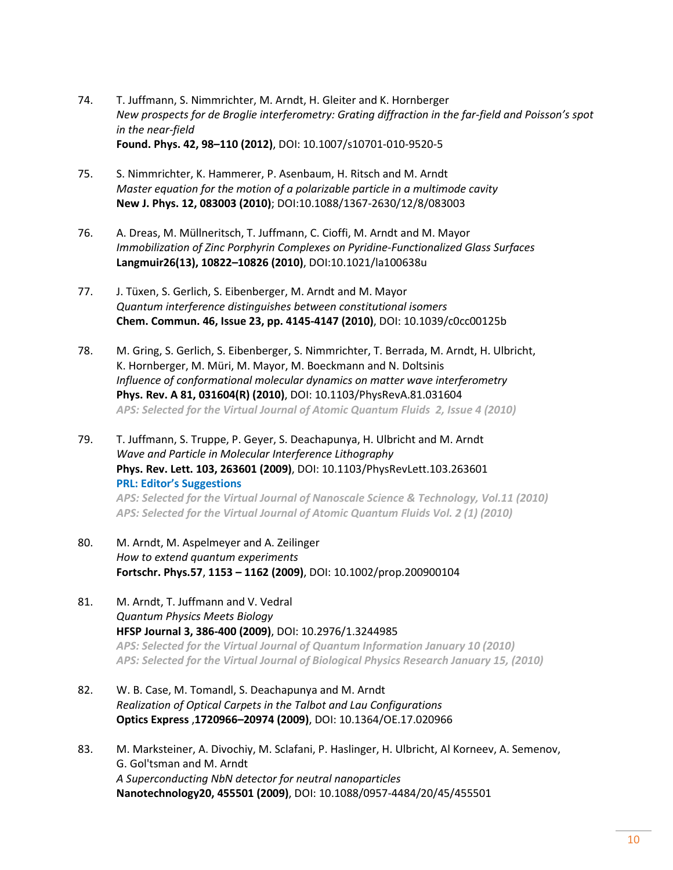- 74. T. Juffmann, S. Nimmrichter, M. Arndt, H. Gleiter and K. Hornberger *New prospects for de Broglie interferometry: Grating diffraction in the far-field and Poisson's spot in the near-field* **Found. Phys. 42, 98–110 (2012)**, DOI: 10.1007/s10701-010-9520-5
- 75. S. Nimmrichter, K. Hammerer, P. Asenbaum, H. Ritsch and M. Arndt *Master equation for the motion of a polarizable particle in a multimode cavity* **New J. Phys. 12, 083003 (2010)**; DOI:10.1088/1367-2630/12/8/083003
- 76. A. Dreas, M. Müllneritsch, T. Juffmann, C. Cioffi, M. Arndt and M. Mayor *Immobilization of Zinc Porphyrin Complexes on Pyridine-Functionalized Glass Surfaces* **Langmuir26(13), 10822–10826 (2010)**, DOI:10.1021/la100638u
- 77. J. Tüxen, S. Gerlich, S. Eibenberger, M. Arndt and M. Mayor *Quantum interference distinguishes between constitutional isomers* **Chem. Commun. 46, Issue 23, pp. 4145-4147 (2010)**, DOI: 10.1039/c0cc00125b
- 78. M. Gring, S. Gerlich, S. Eibenberger, S. Nimmrichter, T. Berrada, M. Arndt, H. Ulbricht, K. Hornberger, M. Müri, M. Mayor, M. Boeckmann and N. Doltsinis *Influence of conformational molecular dynamics on matter wave interferometry* **Phys. Rev. A 81, 031604(R) (2010)**, DOI: 10.1103/PhysRevA.81.031604 *APS: Selected for the Virtual Journal of Atomic Quantum Fluids 2, Issue 4 (2010)*
- 79. T. Juffmann, S. Truppe, P. Geyer, S. Deachapunya, H. Ulbricht and M. Arndt *Wave and Particle in Molecular Interference Lithography*  **Phys. Rev. Lett. 103, 263601 (2009)**, DOI: 10.1103/PhysRevLett.103.263601 **PRL: Editor's Suggestions** *APS: Selected for the Virtual Journal of Nanoscale Science & Technology, Vol.11 (2010)*

*APS: Selected for the Virtual Journal of Atomic Quantum Fluids Vol. 2 (1) (2010)*

- 80. M. Arndt, M. Aspelmeyer and A. Zeilinger *How to extend quantum experiments* **Fortschr. Phys.57**, **1153 – 1162 (2009)**, DOI: 10.1002/prop.200900104
- 81. M. Arndt, T. Juffmann and V. Vedral *Quantum Physics Meets Biology* **HFSP Journal 3, 386-400 (2009)**, DOI: 10.2976/1.3244985 *APS: Selected for the Virtual Journal of Quantum Information January 10 (2010) APS: Selected for the Virtual Journal of Biological Physics Research January 15, (2010)*
- 82. W. B. Case, M. Tomandl, S. Deachapunya and M. Arndt *Realization of Optical Carpets in the Talbot and Lau Configurations*  **Optics Express** ,**1720966–20974 (2009)**, DOI: 10.1364/OE.17.020966
- 83. M. Marksteiner, A. Divochiy, M. Sclafani, P. Haslinger, H. Ulbricht, Al Korneev, A. Semenov, G. Gol'tsman and M. Arndt *A Superconducting NbN detector for neutral nanoparticles* **Nanotechnology20, 455501 (2009)**, DOI: 10.1088/0957-4484/20/45/455501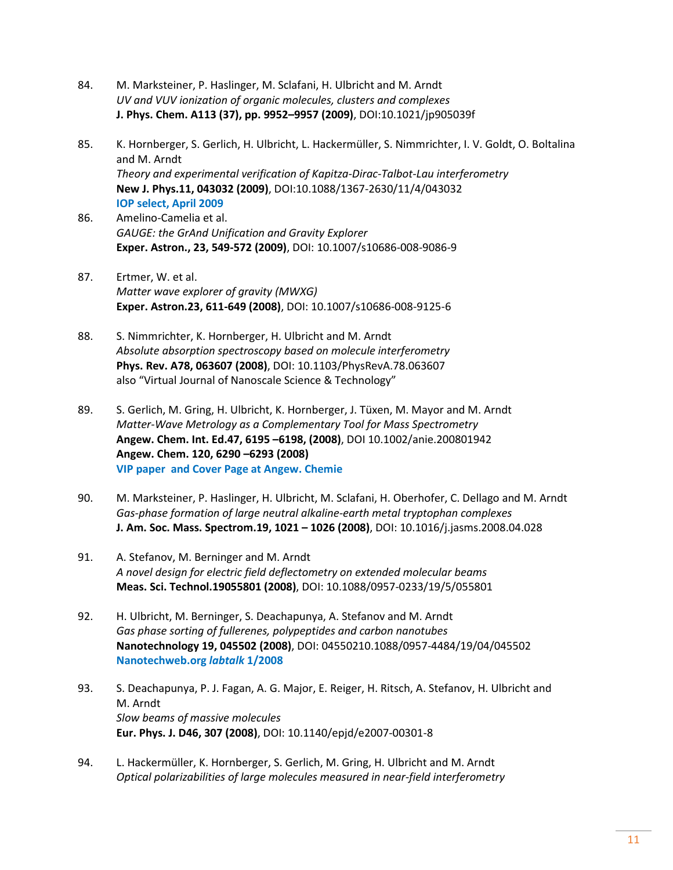- 84. M. Marksteiner, P. Haslinger, M. Sclafani, H. Ulbricht and M. Arndt *UV and VUV ionization of organic molecules, clusters and complexes* **J. Phys. Chem. A113 (37), pp. 9952–9957 (2009)**, DOI:10.1021/jp905039f
- 85. K. Hornberger, S. Gerlich, H. Ulbricht, L. Hackermüller, S. Nimmrichter, I. V. Goldt, O. Boltalina and M. Arndt *Theory and experimental verification of Kapitza-Dirac-Talbot-Lau interferometry* **New J. Phys.11, 043032 (2009)**, DOI:10.1088/1367-2630/11/4/043032 **IOP select, April 2009**
- 86. Amelino-Camelia et al. *GAUGE: the GrAnd Unification and Gravity Explorer*  **Exper. Astron., 23, 549-572 (2009)**, DOI: 10.1007/s10686-008-9086-9
- 87. Ertmer, W. et al. *Matter wave explorer of gravity (MWXG)* **Exper. Astron.23, 611-649 (2008)**, DOI: 10.1007/s10686-008-9125-6
- 88. S. Nimmrichter, K. Hornberger, H. Ulbricht and M. Arndt *Absolute absorption spectroscopy based on molecule interferometry*  **Phys. Rev. A78, 063607 (2008)**, DOI: 10.1103/PhysRevA.78.063607 also "Virtual Journal of Nanoscale Science & Technology"
- 89. S. Gerlich, M. Gring, H. Ulbricht, K. Hornberger, J. Tüxen, M. Mayor and M. Arndt *Matter-Wave Metrology as a Complementary Tool for Mass Spectrometry* **Angew. Chem. Int. Ed.47, 6195 –6198, (2008)**, DOI 10.1002/anie.200801942 **Angew. Chem. 120, 6290 –6293 (2008) VIP paper and Cover Page at Angew. Chemie**
- 90. M. Marksteiner, P. Haslinger, H. Ulbricht, M. Sclafani, H. Oberhofer, C. Dellago and M. Arndt *Gas-phase formation of large neutral alkaline-earth metal tryptophan complexes*  **J. Am. Soc. Mass. Spectrom.19, 1021 – 1026 (2008)**, DOI: 10.1016/j.jasms.2008.04.028
- 91. A. Stefanov, M. Berninger and M. Arndt *A novel design for electric field deflectometry on extended molecular beams* **Meas. Sci. Technol.19055801 (2008)**, DOI: 10.1088/0957-0233/19/5/055801
- 92. H. Ulbricht, M. Berninger, S. Deachapunya, A. Stefanov and M. Arndt *Gas phase sorting of fullerenes, polypeptides and carbon nanotubes* **Nanotechnology 19, 045502 (2008)**, DOI: 04550210.1088/0957-4484/19/04/045502 **Nanotechweb.org** *labtalk* **1/2008**
- 93. S. Deachapunya, P. J. Fagan, A. G. Major, E. Reiger, H. Ritsch, A. Stefanov, H. Ulbricht and M. Arndt *Slow beams of massive molecules* **Eur. Phys. J. D46, 307 (2008)**, DOI: 10.1140/epjd/e2007-00301-8
- 94. L. Hackermüller, K. Hornberger, S. Gerlich, M. Gring, H. Ulbricht and M. Arndt *Optical polarizabilities of large molecules measured in near-field interferometry*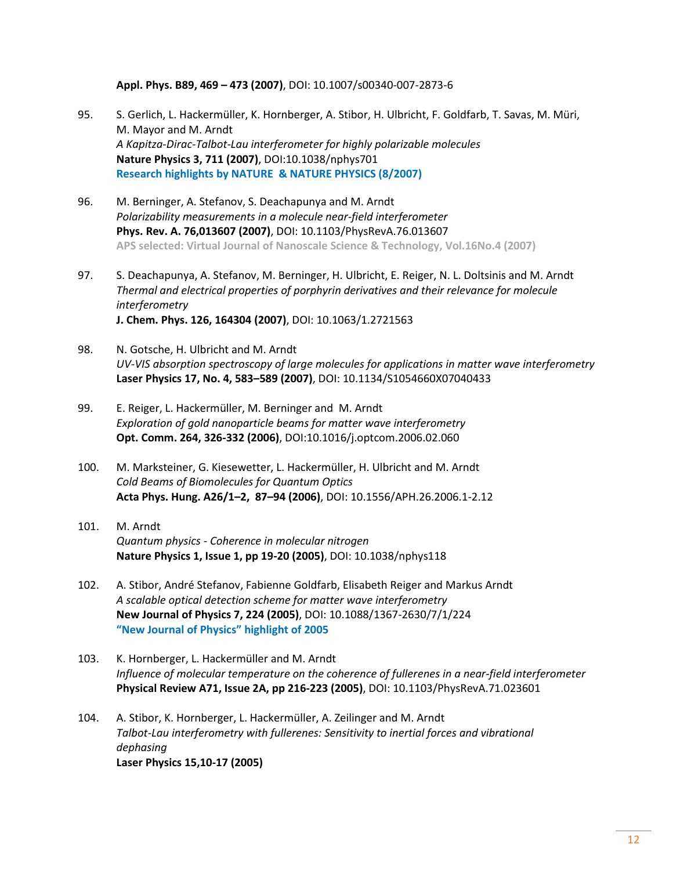**Appl. Phys. B89, 469 – 473 (2007)**, DOI: 10.1007/s00340-007-2873-6

- 95. S. Gerlich, L. Hackermüller, K. Hornberger, A. Stibor, H. Ulbricht, F. Goldfarb, T. Savas, M. Müri, M. Mayor and M. Arndt *A Kapitza-Dirac-Talbot-Lau interferometer for highly polarizable molecules* **Nature Physics 3, 711 (2007)**, DOI:10.1038/nphys701 **Research highlights by NATURE & NATURE PHYSICS (8/2007)**
- 96. M. Berninger, A. Stefanov, S. Deachapunya and M. Arndt *Polarizability measurements in a molecule near-field interferometer* **Phys. Rev. A. 76,013607 (2007)**, DOI: 10.1103/PhysRevA.76.013607 **APS selected: Virtual Journal of Nanoscale Science & Technology, Vol.16No.4 (2007)**
- 97. S. Deachapunya, A. Stefanov, M. Berninger, H. Ulbricht, E. Reiger, N. L. Doltsinis and M. Arndt *Thermal and electrical properties of porphyrin derivatives and their relevance for molecule interferometry* **J. Chem. Phys. 126, 164304 (2007)**, DOI: 10.1063/1.2721563
- 98. N. Gotsche, H. Ulbricht and M. Arndt *UV-VIS absorption spectroscopy of large molecules for applications in matter wave interferometry* **Laser Physics 17, No. 4, 583–589 (2007)**, DOI: 10.1134/S1054660X07040433
- 99. E. Reiger, L. Hackermüller, M. Berninger and M. Arndt *Exploration of gold nanoparticle beams for matter wave interferometry* **Opt. Comm. 264, 326-332 (2006)**, DOI:10.1016/j.optcom.2006.02.060
- 100. M. Marksteiner, G. Kiesewetter, L. Hackermüller, H. Ulbricht and M. Arndt *Cold Beams of Biomolecules for Quantum Optics* **Acta Phys. Hung. A26/1–2, 87–94 (2006)**, DOI: 10.1556/APH.26.2006.1-2.12
- 101. M. Arndt *Quantum physics - Coherence in molecular nitrogen* **Nature Physics 1, Issue 1, pp 19-20 (2005)**, DOI: 10.1038/nphys118
- 102. A. Stibor, André Stefanov, Fabienne Goldfarb, Elisabeth Reiger and Markus Arndt *A scalable optical detection scheme for matter wave interferometry*  **New Journal of Physics 7, 224 (2005)**, DOI: 10.1088/1367-2630/7/1/224 **"New Journal of Physics" highlight of 2005**
- 103. K. Hornberger, L. Hackermüller and M. Arndt *Influence of molecular temperature on the coherence of fullerenes in a near-field interferometer* **Physical Review A71, Issue 2A, pp 216-223 (2005)**, DOI: 10.1103/PhysRevA.71.023601
- 104. A. Stibor, K. Hornberger, L. Hackermüller, A. Zeilinger and M. Arndt *Talbot-Lau interferometry with fullerenes: Sensitivity to inertial forces and vibrational dephasing* **Laser Physics 15,10-17 (2005)**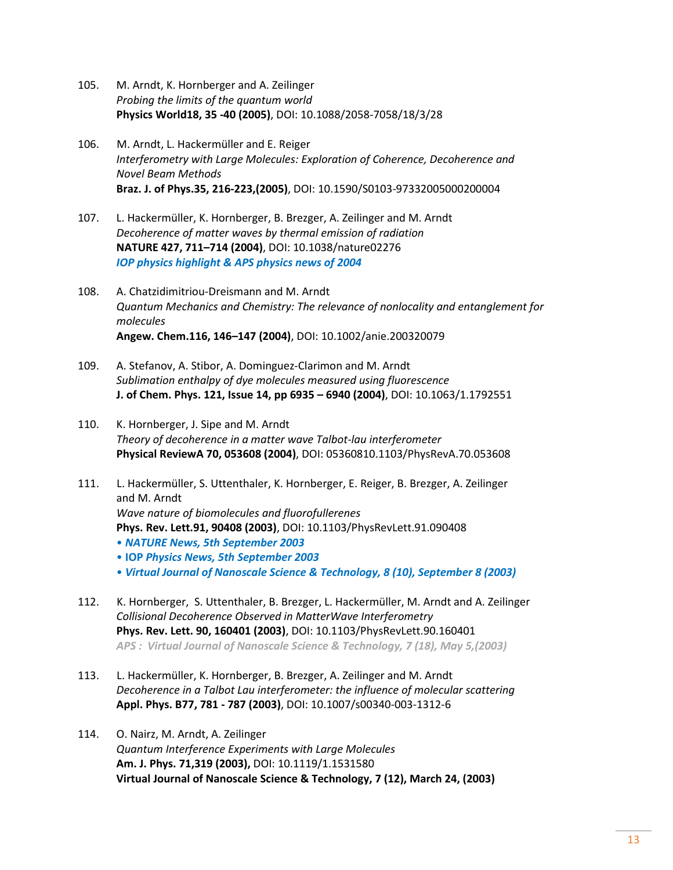- 105. M. Arndt, K. Hornberger and A. Zeilinger *Probing the limits of the quantum world* **Physics World18, 35 -40 (2005)**, DOI: 10.1088/2058-7058/18/3/28
- 106. M. Arndt, L. Hackermüller and E. Reiger *Interferometry with Large Molecules: Exploration of Coherence, Decoherence and Novel Beam Methods* **Braz. J. of Phys.35, 216-223,(2005)**, DOI: 10.1590/S0103-97332005000200004
- 107. L. Hackermüller, K. Hornberger, B. Brezger, A. Zeilinger and M. Arndt *Decoherence of matter waves by thermal emission of radiation*  **NATURE 427, 711–714 (2004)**, DOI: 10.1038/nature02276 *IOP physics highlight & APS physics news of 2004*
- 108. A. Chatzidimitriou-Dreismann and M. Arndt *Quantum Mechanics and Chemistry: The relevance of nonlocality and entanglement for molecules*  **Angew. Chem.116, 146–147 (2004)**, DOI: 10.1002/anie.200320079
- 109. A. Stefanov, A. Stibor, A. Dominguez-Clarimon and M. Arndt *Sublimation enthalpy of dye molecules measured using fluorescence* **J. of Chem. Phys. 121, Issue 14, pp 6935 – 6940 (2004)**, DOI: 10.1063/1.1792551
- 110. K. Hornberger, J. Sipe and M. Arndt *Theory of decoherence in a matter wave Talbot-lau interferometer* **Physical ReviewA 70, 053608 (2004)**, DOI: 05360810.1103/PhysRevA.70.053608
- 111. L. Hackermüller, S. Uttenthaler, K. Hornberger, E. Reiger, B. Brezger, A. Zeilinger and M. Arndt *Wave nature of biomolecules and fluorofullerenes* **Phys. Rev. Lett.91, 90408 (2003)**, DOI: 10.1103/PhysRevLett.91.090408 • *NATURE News, 5th September 2003* • **IOP** *Physics News, 5th September 2003*
	- *Virtual Journal of Nanoscale Science & Technology, 8 (10), September 8 (2003)*
- 112. K. Hornberger, S. Uttenthaler, B. Brezger, L. Hackermüller, M. Arndt and A. Zeilinger *Collisional Decoherence Observed in MatterWave Interferometry* **Phys. Rev. Lett. 90, 160401 (2003)**, DOI: 10.1103/PhysRevLett.90.160401 *APS : Virtual Journal of Nanoscale Science & Technology, 7 (18), May 5,(2003)*
- 113. L. Hackermüller, K. Hornberger, B. Brezger, A. Zeilinger and M. Arndt *Decoherence in a Talbot Lau interferometer: the influence of molecular scattering* **Appl. Phys. B77, 781 - 787 (2003)**, DOI: 10.1007/s00340-003-1312-6
- 114. O. Nairz, M. Arndt, A. Zeilinger *Quantum Interference Experiments with Large Molecules* **Am. J. Phys. 71,319 (2003),** DOI: 10.1119/1.1531580 **Virtual Journal of Nanoscale Science & Technology, 7 (12), March 24, (2003)**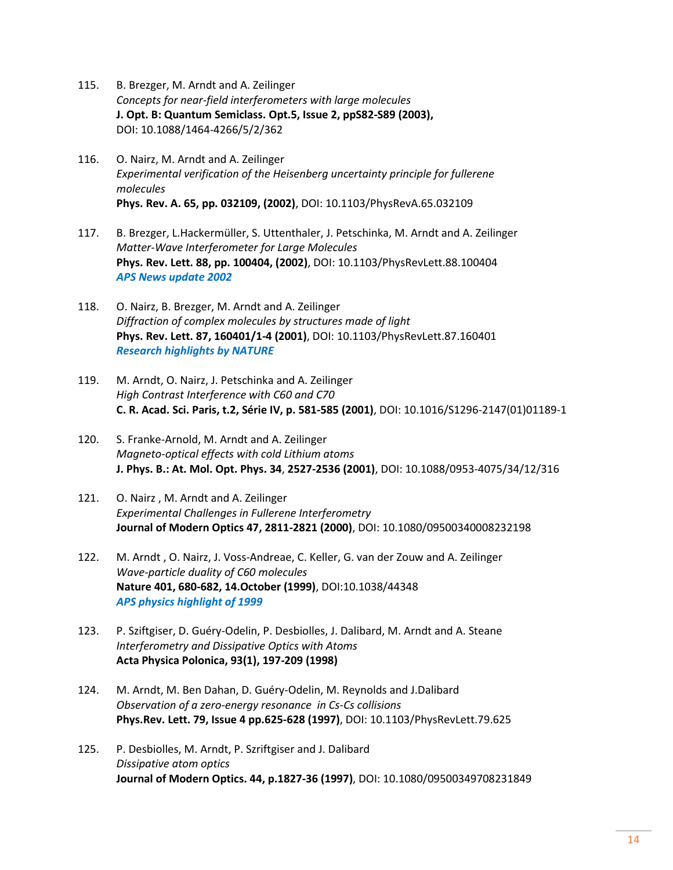- 115. B. Brezger, M. Arndt and A. Zeilinger *Concepts for near-field interferometers with large molecules* **J. Opt. B: Quantum Semiclass. Opt.5, Issue 2, ppS82-S89 (2003),** DOI: 10.1088/1464-4266/5/2/362
- 116. O. Nairz, M. Arndt and A. Zeilinger *Experimental verification of the Heisenberg uncertainty principle for fullerene molecules* **Phys. Rev. A. 65, pp. 032109, (2002)**, DOI: 10.1103/PhysRevA.65.032109
- 117. B. Brezger, L.Hackermüller, S. Uttenthaler, J. Petschinka, M. Arndt and A. Zeilinger *Matter-Wave Interferometer for Large Molecules* **Phys. Rev. Lett. 88, pp. 100404, (2002)**, DOI: 10.1103/PhysRevLett.88.100404 *APS News update 2002*
- 118. O. Nairz, B. Brezger, M. Arndt and A. Zeilinger *Diffraction of complex molecules by structures made of light* **Phys. Rev. Lett. 87, 160401/1-4 (2001)**, DOI: 10.1103/PhysRevLett.87.160401 *Research highlights by NATURE*
- 119. M. Arndt, O. Nairz, J. Petschinka and A. Zeilinger *High Contrast Interference with C60 and C70* **C. R. Acad. Sci. Paris, t.2, Série IV, p. 581-585 (2001)**, DOI: 10.1016/S1296-2147(01)01189-1
- 120. S. Franke-Arnold, M. Arndt and A. Zeilinger *Magneto-optical effects with cold Lithium atoms* **J. Phys. B.: At. Mol. Opt. Phys. 34**, **2527-2536 (2001)**, DOI: 10.1088/0953-4075/34/12/316
- 121. O. Nairz , M. Arndt and A. Zeilinger *Experimental Challenges in Fullerene Interferometry* **Journal of Modern Optics 47, 2811-2821 (2000)**, DOI: 10.1080/09500340008232198
- 122. M. Arndt , O. Nairz, J. Voss-Andreae, C. Keller, G. van der Zouw and A. Zeilinger *Wave-particle duality of C60 molecules* **Nature 401, 680-682, 14.October (1999)**, DOI:10.1038/44348 *APS physics highlight of 1999*
- 123. P. Sziftgiser, D. Guéry-Odelin, P. Desbiolles, J. Dalibard, M. Arndt and A. Steane *Interferometry and Dissipative Optics with Atoms* **Acta Physica Polonica, 93(1), 197-209 (1998)**
- 124. M. Arndt, M. Ben Dahan, D. Guéry-Odelin, M. Reynolds and J.Dalibard *Observation of a zero-energy resonance in Cs-Cs collisions* **Phys.Rev. Lett. 79, Issue 4 pp.625-628 (1997)**, DOI: 10.1103/PhysRevLett.79.625
- 125. P. Desbiolles, M. Arndt, P. Szriftgiser and J. Dalibard *Dissipative atom optics* **Journal of Modern Optics. 44, p.1827-36 (1997)**, DOI: 10.1080/09500349708231849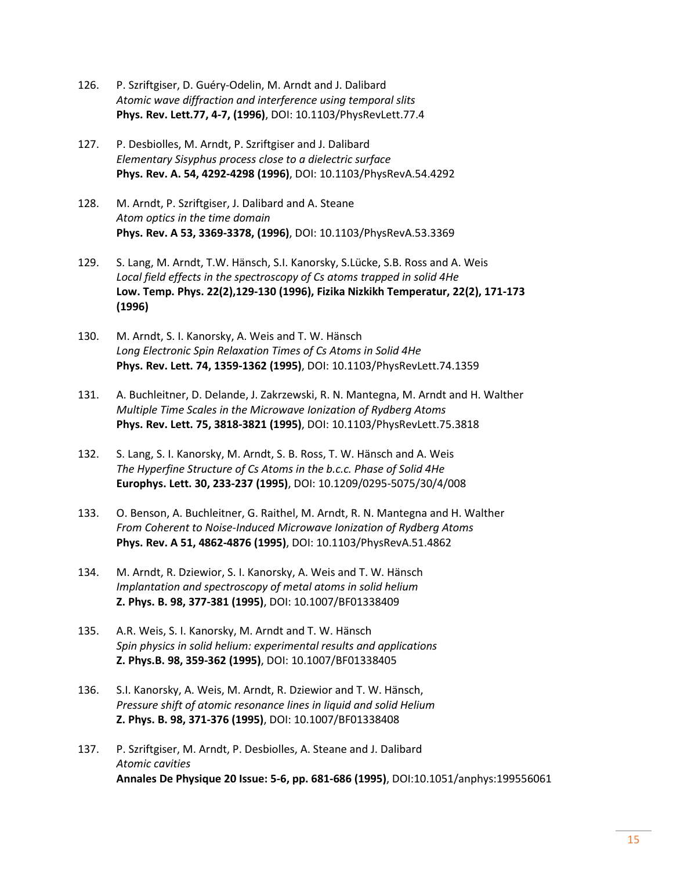- 126. P. Szriftgiser, D. Guéry-Odelin, M. Arndt and J. Dalibard *Atomic wave diffraction and interference using temporal slits* **Phys. Rev. Lett.77, 4-7, (1996)**, DOI: 10.1103/PhysRevLett.77.4
- 127. P. Desbiolles, M. Arndt, P. Szriftgiser and J. Dalibard *Elementary Sisyphus process close to a dielectric surface*  **Phys. Rev. A. 54, 4292-4298 (1996)**, DOI: 10.1103/PhysRevA.54.4292
- 128. M. Arndt, P. Szriftgiser, J. Dalibard and A. Steane *Atom optics in the time domain* **Phys. Rev. A 53, 3369-3378, (1996)**, DOI: 10.1103/PhysRevA.53.3369
- 129. S. Lang, M. Arndt, T.W. Hänsch, S.I. Kanorsky, S.Lücke, S.B. Ross and A. Weis *Local field effects in the spectroscopy of Cs atoms trapped in solid 4He* **Low. Temp. Phys. 22(2),129-130 (1996), Fizika Nizkikh Temperatur, 22(2), 171-173 (1996)**
- 130. M. Arndt, S. I. Kanorsky, A. Weis and T. W. Hänsch *Long Electronic Spin Relaxation Times of Cs Atoms in Solid 4He*  **Phys. Rev. Lett. 74, 1359-1362 (1995)**, DOI: 10.1103/PhysRevLett.74.1359
- 131. A. Buchleitner, D. Delande, J. Zakrzewski, R. N. Mantegna, M. Arndt and H. Walther *Multiple Time Scales in the Microwave Ionization of Rydberg Atoms* **Phys. Rev. Lett. 75, 3818-3821 (1995)**, DOI: 10.1103/PhysRevLett.75.3818
- 132. S. Lang, S. I. Kanorsky, M. Arndt, S. B. Ross, T. W. Hänsch and A. Weis *The Hyperfine Structure of Cs Atoms in the b.c.c. Phase of Solid 4He* **Europhys. Lett. 30, 233-237 (1995)**, DOI: 10.1209/0295-5075/30/4/008
- 133. O. Benson, A. Buchleitner, G. Raithel, M. Arndt, R. N. Mantegna and H. Walther *From Coherent to Noise-Induced Microwave Ionization of Rydberg Atoms* **Phys. Rev. A 51, 4862-4876 (1995)**, DOI: 10.1103/PhysRevA.51.4862
- 134. M. Arndt, R. Dziewior, S. I. Kanorsky, A. Weis and T. W. Hänsch *Implantation and spectroscopy of metal atoms in solid helium* **Z. Phys. B. 98, 377-381 (1995)**, DOI: 10.1007/BF01338409
- 135. A.R. Weis, S. I. Kanorsky, M. Arndt and T. W. Hänsch *Spin physics in solid helium: experimental results and applications* **Z. Phys.B. 98, 359-362 (1995)**, DOI: 10.1007/BF01338405
- 136. S.I. Kanorsky, A. Weis, M. Arndt, R. Dziewior and T. W. Hänsch, *Pressure shift of atomic resonance lines in liquid and solid Helium* **Z. Phys. B. 98, 371-376 (1995)**, DOI: 10.1007/BF01338408
- 137. P. Szriftgiser, M. Arndt, P. Desbiolles, A. Steane and J. Dalibard *Atomic cavities* **Annales De Physique 20 Issue: 5-6, pp. 681-686 (1995)**, DOI:10.1051/anphys:199556061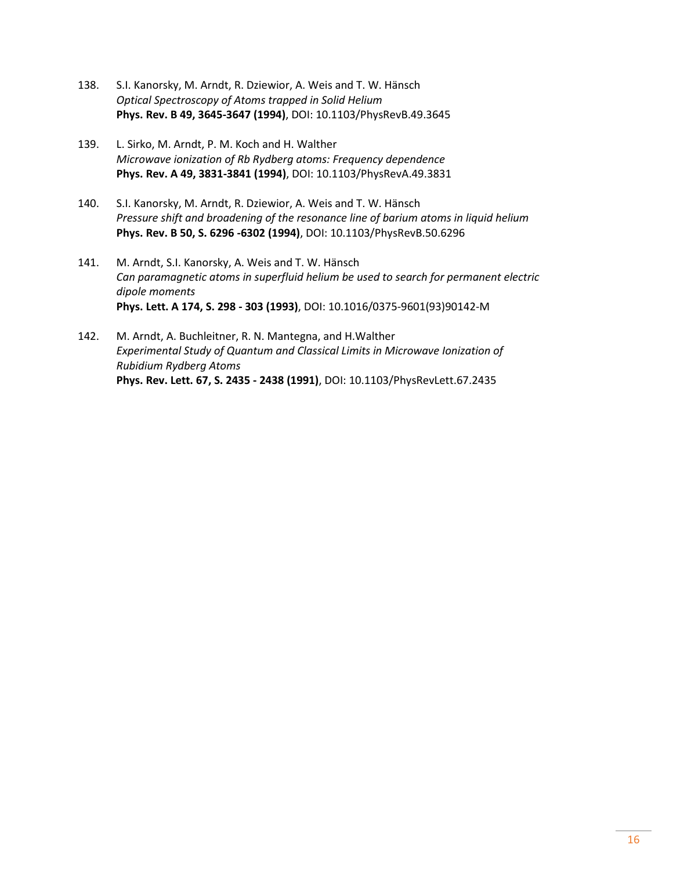- 138. S.I. Kanorsky, M. Arndt, R. Dziewior, A. Weis and T. W. Hänsch *Optical Spectroscopy of Atoms trapped in Solid Helium* **Phys. Rev. B 49, 3645-3647 (1994)**, DOI: 10.1103/PhysRevB.49.3645
- 139. L. Sirko, M. Arndt, P. M. Koch and H. Walther *Microwave ionization of Rb Rydberg atoms: Frequency dependence* **Phys. Rev. A 49, 3831-3841 (1994)**, DOI: 10.1103/PhysRevA.49.3831
- 140. S.I. Kanorsky, M. Arndt, R. Dziewior, A. Weis and T. W. Hänsch *Pressure shift and broadening of the resonance line of barium atoms in liquid helium* **Phys. Rev. B 50, S. 6296 -6302 (1994)**, DOI: 10.1103/PhysRevB.50.6296
- 141. M. Arndt, S.I. Kanorsky, A. Weis and T. W. Hänsch *Can paramagnetic atoms in superfluid helium be used to search for permanent electric dipole moments* **Phys. Lett. A 174, S. 298 - 303 (1993)**, DOI: 10.1016/0375-9601(93)90142-M
- 142. M. Arndt, A. Buchleitner, R. N. Mantegna, and H.Walther *Experimental Study of Quantum and Classical Limits in Microwave Ionization of Rubidium Rydberg Atoms* **Phys. Rev. Lett. 67, S. 2435 - 2438 (1991)**, DOI: 10.1103/PhysRevLett.67.2435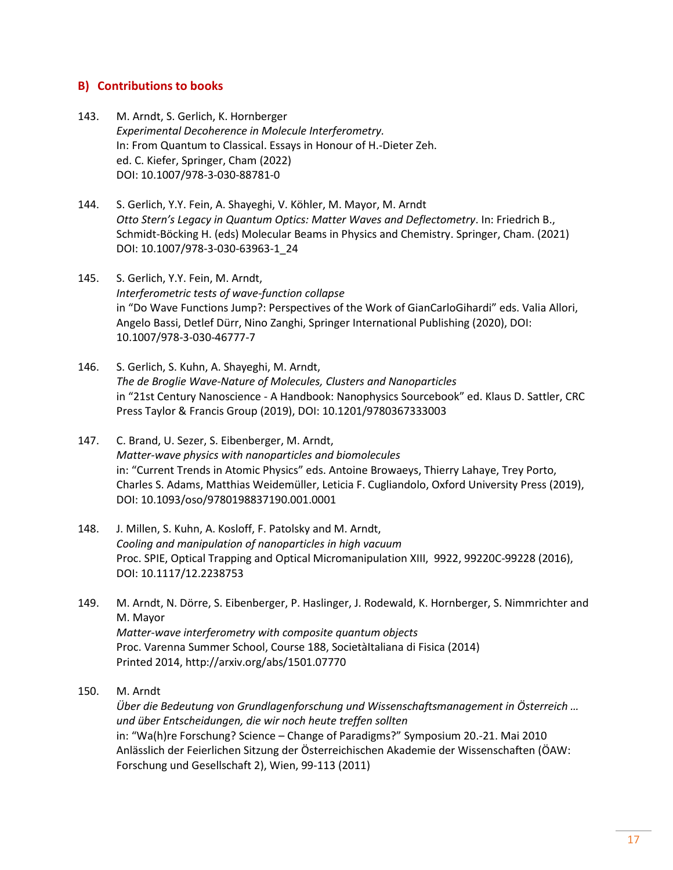### **B) Contributions to books**

- 143. M. Arndt, S. Gerlich, K. Hornberger *Experimental Decoherence in Molecule Interferometry.* In: From Quantum to Classical. Essays in Honour of H.-Dieter Zeh. ed. C. Kiefer, Springer, Cham (2022) DOI: 10.1007/978-3-030-88781-0
- 144. S. Gerlich, Y.Y. Fein, A. Shayeghi, V. Köhler, M. Mayor, M. Arndt *Otto Stern's Legacy in Quantum Optics: Matter Waves and Deflectometry*. In: Friedrich B., Schmidt-Böcking H. (eds) Molecular Beams in Physics and Chemistry. Springer, Cham. (2021) DOI: 10.1007/978-3-030-63963-1\_24
- 145. S. Gerlich, Y.Y. Fein, M. Arndt, *Interferometric tests of wave-function collapse* in "Do Wave Functions Jump?: Perspectives of the Work of GianCarloGihardi" eds. Valia Allori, Angelo Bassi, Detlef Dürr, Nino Zanghi, Springer International Publishing (2020), DOI: 10.1007/978-3-030-46777-7
- 146. S. Gerlich, S. Kuhn, A. Shayeghi, M. Arndt, *The de Broglie Wave-Nature of Molecules, Clusters and Nanoparticles* in "21st Century Nanoscience - A Handbook: Nanophysics Sourcebook" ed. Klaus D. Sattler, CRC Press Taylor & Francis Group (2019), DOI: 10.1201/9780367333003
- 147. C. Brand, U. Sezer, S. Eibenberger, M. Arndt, *Matter-wave physics with nanoparticles and biomolecules* in: "Current Trends in Atomic Physics" eds. Antoine Browaeys, Thierry Lahaye, Trey Porto, Charles S. Adams, Matthias Weidemüller, Leticia F. Cugliandolo, Oxford University Press (2019), DOI: 10.1093/oso/9780198837190.001.0001
- 148. J. Millen, S. Kuhn, A. Kosloff, F. Patolsky and M. Arndt, *Cooling and manipulation of nanoparticles in high vacuum* Proc. SPIE, Optical Trapping and Optical Micromanipulation XIII, 9922, 99220C-99228 (2016), DOI: 10.1117/12.2238753
- 149. M. Arndt, N. Dörre, S. Eibenberger, P. Haslinger, J. Rodewald, K. Hornberger, S. Nimmrichter and M. Mayor *Matter-wave interferometry with composite quantum objects* Proc. Varenna Summer School, Course 188, SocietàItaliana di Fisica (2014) Printed 2014, http://arxiv.org/abs/1501.07770
- 150. M. Arndt

*Über die Bedeutung von Grundlagenforschung und Wissenschaftsmanagement in Österreich … und über Entscheidungen, die wir noch heute treffen sollten* in: "Wa(h)re Forschung? Science – Change of Paradigms?" Symposium 20.-21. Mai 2010 Anlässlich der Feierlichen Sitzung der Österreichischen Akademie der Wissenschaften (ÖAW: Forschung und Gesellschaft 2), Wien, 99-113 (2011)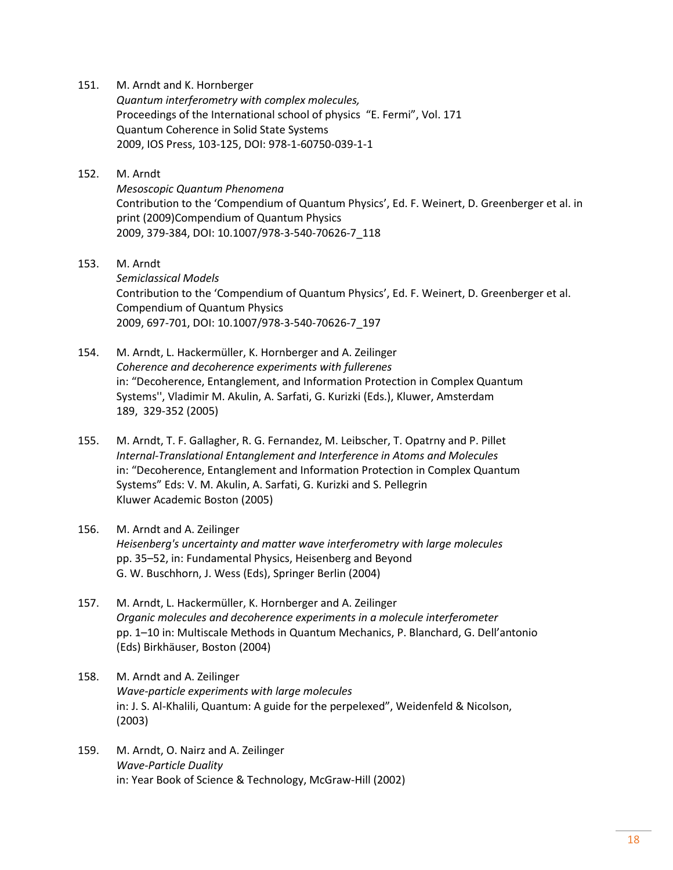- 151. M. Arndt and K. Hornberger *Quantum interferometry with complex molecules,* Proceedings of the International school of physics "E. Fermi", Vol. 171 Quantum Coherence in Solid State Systems 2009, IOS Press, 103-125, DOI: 978-1-60750-039-1-1
- 152. M. Arndt *Mesoscopic Quantum Phenomena* Contribution to the 'Compendium of Quantum Physics', Ed. F. Weinert, D. Greenberger et al. in print (2009)Compendium of Quantum Physics 2009, 379-384, DOI: 10.1007/978-3-540-70626-7\_118
- 153. M. Arndt *Semiclassical Models* Contribution to the 'Compendium of Quantum Physics', Ed. F. Weinert, D. Greenberger et al. Compendium of Quantum Physics 2009, 697-701, DOI: 10.1007/978-3-540-70626-7\_197
- 154. M. Arndt, L. Hackermüller, K. Hornberger and A. Zeilinger *Coherence and decoherence experiments with fullerenes* in: "Decoherence, Entanglement, and Information Protection in Complex Quantum Systems'', Vladimir M. Akulin, A. Sarfati, G. Kurizki (Eds.), Kluwer, Amsterdam 189, 329-352 (2005)
- 155. M. Arndt, T. F. Gallagher, R. G. Fernandez, M. Leibscher, T. Opatrny and P. Pillet *Internal-Translational Entanglement and Interference in Atoms and Molecules* in: "Decoherence, Entanglement and Information Protection in Complex Quantum Systems" Eds: V. M. Akulin, A. Sarfati, G. Kurizki and S. Pellegrin Kluwer Academic Boston (2005)
- 156. M. Arndt and A. Zeilinger *Heisenberg's uncertainty and matter wave interferometry with large molecules* pp. 35–52, in: Fundamental Physics, Heisenberg and Beyond G. W. Buschhorn, J. Wess (Eds), Springer Berlin (2004)
- 157. M. Arndt, L. Hackermüller, K. Hornberger and A. Zeilinger *Organic molecules and decoherence experiments in a molecule interferometer* pp. 1–10 in: Multiscale Methods in Quantum Mechanics, P. Blanchard, G. Dell'antonio (Eds) Birkhäuser, Boston (2004)
- 158. M. Arndt and A. Zeilinger *Wave-particle experiments with large molecules* in: J. S. Al-Khalili, Quantum: A guide for the perpelexed", Weidenfeld & Nicolson, (2003)
- 159. M. Arndt, O. Nairz and A. Zeilinger *Wave-Particle Duality* in: Year Book of Science & Technology, McGraw-Hill (2002)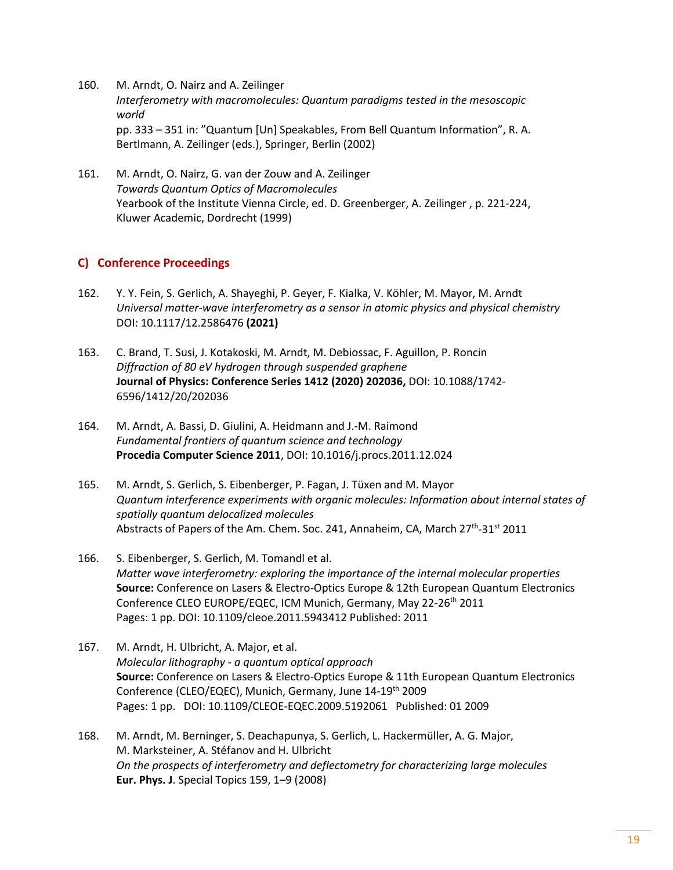- 160. M. Arndt, O. Nairz and A. Zeilinger *Interferometry with macromolecules: Quantum paradigms tested in the mesoscopic world* pp. 333 – 351 in: "Quantum [Un] Speakables, From Bell Quantum Information", R. A. Bertlmann, A. Zeilinger (eds.), Springer, Berlin (2002)
- 161. M. Arndt, O. Nairz, G. van der Zouw and A. Zeilinger *Towards Quantum Optics of Macromolecules* Yearbook of the Institute Vienna Circle, ed. D. Greenberger, A. Zeilinger , p. 221-224, Kluwer Academic, Dordrecht (1999)

## **C) Conference Proceedings**

- 162. Y. Y. Fein, S. Gerlich, A. Shayeghi, P. Geyer, F. Kialka, V. Köhler, M. Mayor, M. Arndt *Universal matter-wave interferometry as a sensor in atomic physics and physical chemistry* DOI: 10.1117/12.2586476 **(2021)**
- 163. C. Brand, T. Susi, J. Kotakoski, M. Arndt, M. Debiossac, F. Aguillon, P. Roncin *Diffraction of 80 eV hydrogen through suspended graphene* **Journal of Physics: Conference Series 1412 (2020) 202036,** DOI: 10.1088/1742- 6596/1412/20/202036
- 164. M. Arndt, A. Bassi, D. Giulini, A. Heidmann and J.-M. Raimond *Fundamental frontiers of quantum science and technology* **Procedia Computer Science 2011**, DOI: 10.1016/j.procs.2011.12.024
- 165. M. Arndt, S. Gerlich, S. Eibenberger, P. Fagan, J. Tüxen and M. Mayor *[Quantum interference experiments with organic molecules: Information about internal states of](javascript:openGatewayLink()  [spatially quantum delocalized molecules](javascript:openGatewayLink()* Abstracts of Papers of the Am. Chem. Soc. 241, Annaheim, CA, March 27<sup>th</sup>-31<sup>st</sup> 2011
- 166. S. Eibenberger, S. Gerlich, M. Tomandl et al. *[Matter wave interferometry: exploring the importance of the internal molecular properties](javascript:openGatewayLink()* **Source:** Conference on Lasers & Electro-Optics Europe & 12th European Quantum Electronics Conference CLEO EUROPE/EQEC, ICM Munich, Germany, May 22-26<sup>th</sup> 2011 Pages: 1 pp. DOI: 10.1109/cleoe.2011.5943412 Published: 2011
- 167. M. Arndt, H. Ulbricht, A. Major, et al. *Molecular lithography - [a quantum optical approach](http://apps.isiknowledge.com/full_record.do?product=UA&search_mode=GeneralSearch&qid=1&SID=X1PJGGLfpImmDC5dLIP&page=1&doc=18&colname=INSPEC)* **Source:** Conference on Lasers & Electro-Optics Europe & 11th European Quantum Electronics Conference (CLEO/EQEC), Munich, Germany, June 14-19<sup>th</sup> 2009 Pages: 1 pp. DOI: 10.1109/CLEOE-EQEC.2009.5192061 Published: 01 2009
- 168. M. Arndt, M. Berninger, S. Deachapunya, S. Gerlich, L. Hackermüller, A. G. Major, M. Marksteiner, A. Stéfanov and H. Ulbricht *On the prospects of interferometry and deflectometry for characterizing large molecules* **Eur. Phys. J**. Special Topics 159, 1–9 (2008)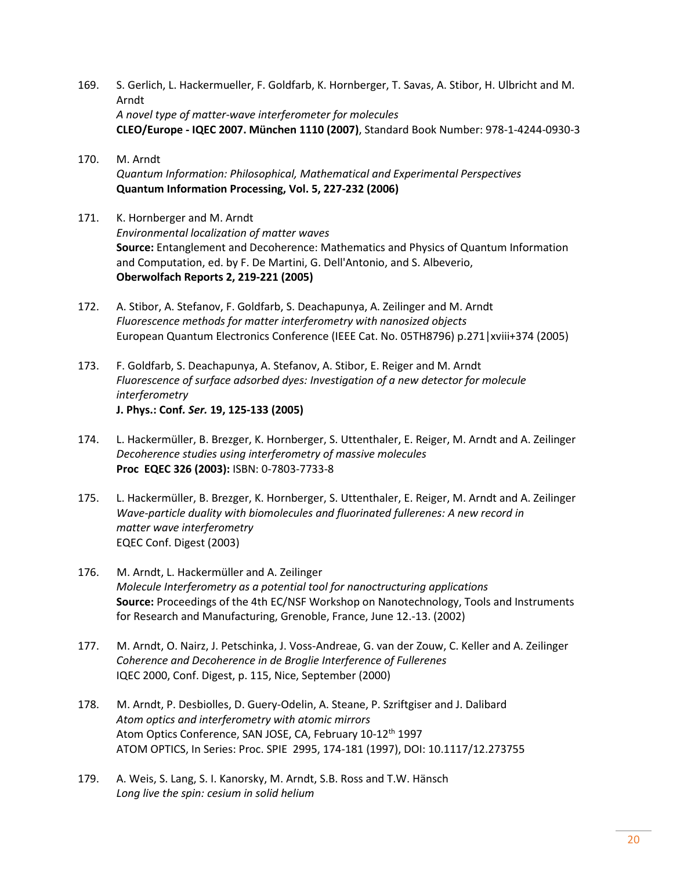- 169. S. [Gerlich,](http://apps.isiknowledge.com/OneClickSearch.do?product=UA&search_mode=OneClickSearch&db_id=&SID=X1PJGGLfpImmDC5dLIP&field=AU&value=Gerlich%2C+S.) L. [Hackermueller,](http://apps.isiknowledge.com/OneClickSearch.do?product=UA&search_mode=OneClickSearch&db_id=&SID=X1PJGGLfpImmDC5dLIP&field=AU&value=Hackermueller%2C+L.) F. [Goldfarb,](http://apps.isiknowledge.com/OneClickSearch.do?product=UA&search_mode=OneClickSearch&db_id=&SID=X1PJGGLfpImmDC5dLIP&field=AU&value=Goldfarb%2C+F.) K[. Hornberger,](http://apps.isiknowledge.com/OneClickSearch.do?product=UA&search_mode=OneClickSearch&db_id=&SID=X1PJGGLfpImmDC5dLIP&field=AU&value=Hornberger%2C+K.) T. [Savas,](http://apps.isiknowledge.com/OneClickSearch.do?product=UA&search_mode=OneClickSearch&db_id=&SID=X1PJGGLfpImmDC5dLIP&field=AU&value=Savas%2C+T.) A. [Stibor,](http://apps.isiknowledge.com/OneClickSearch.do?product=UA&search_mode=OneClickSearch&db_id=&SID=X1PJGGLfpImmDC5dLIP&field=AU&value=Stibor%2C+A.) H. [Ulbricht](http://apps.isiknowledge.com/OneClickSearch.do?product=UA&search_mode=OneClickSearch&db_id=&SID=X1PJGGLfpImmDC5dLIP&field=AU&value=Ulbricht%2C+H.) and M. [Arndt](http://apps.isiknowledge.com/OneClickSearch.do?product=UA&search_mode=OneClickSearch&db_id=&SID=X1PJGGLfpImmDC5dLIP&field=AU&value=Arndt%2C+M.) *[A novel type of matter-wave interferometer for molecules](http://apps.isiknowledge.com/full_record.do?product=UA&search_mode=GeneralSearch&qid=1&SID=X1PJGGLfpImmDC5dLIP&page=1&doc=34&colname=INSPEC)* **CLEO/Europe - IQEC 2007. München 1110 (2007)**, Standard Book Number: 978-1-4244-0930-3
- 170. M. Arndt *Quantum Information: Philosophical, Mathematical and Experimental Perspectives* **Quantum Information Processing, Vol. 5, 227-232 (2006)**
- 171. K. Hornberger and M. Arndt *Environmental localization of matter waves* **Source:** Entanglement and Decoherence: Mathematics and Physics of Quantum Information and Computation, ed. by F. De Martini, G. Dell'Antonio, and S. Albeverio, **Oberwolfach Reports 2, 219-221 (2005)**
- 172. A. Stibor, A. Stefanov, F. Goldfarb, S. Deachapunya, A. Zeilinger and M. Arndt *Fluorescence methods for matter interferometry with nanosized objects*  European Quantum Electronics Conference (IEEE Cat. No. 05TH8796) p.271|xviii+374 (2005)
- 173. F. Goldfarb, S. Deachapunya, A. Stefanov, A. Stibor, E. Reiger and M. Arndt *Fluorescence of surface adsorbed dyes: Investigation of a new detector for molecule interferometry* **J. Phys.: Conf***. Ser.* **19, 125-133 (2005)**
- 174. L. Hackermüller, B. Brezger, K. Hornberger, S. Uttenthaler, E. Reiger, M. Arndt and A. Zeilinger *Decoherence studies using interferometry of massive molecules*  **Proc [EQEC](http://ieeexplore.ieee.org/xpl/RecentCon.jsp?punumber=9181) 326 (2003):** ISBN: 0-7803-7733-8
- 175. L. Hackermüller, B. Brezger, K. Hornberger, S. Uttenthaler, E. Reiger, M. Arndt and A. Zeilinger *Wave-particle duality with biomolecules and fluorinated fullerenes: A new record in matter wave interferometry* EQEC Conf. Digest (2003)
- 176. M. Arndt, L. Hackermüller and A. Zeilinger *Molecule Interferometry as a potential tool for nanoctructuring applications* **Source:** Proceedings of the 4th EC/NSF Workshop on Nanotechnology, Tools and Instruments for Research and Manufacturing, Grenoble, France, June 12.-13. (2002)
- 177. M. Arndt, O. Nairz, J. Petschinka, J. Voss-Andreae, G. van der Zouw, C. Keller and A. Zeilinger *Coherence and Decoherence in de Broglie Interference of Fullerenes* IQEC 2000, Conf. Digest, p. 115, Nice, September (2000)
- 178. M. Arndt, P. Desbiolles, D. Guery-Odelin, A. Steane, P. Szriftgiser and J. Dalibard *Atom optics and interferometry with atomic mirrors* Atom Optics Conference, SAN JOSE, CA, February 10-12<sup>th</sup> 1997 ATOM OPTICS, In Series: Proc. SPIE 2995, 174-181 (1997), DOI: 10.1117/12.273755
- 179. A. Weis, S. Lang, S. I. Kanorsky, M. Arndt, S.B. Ross and T.W. Hänsch *Long live the spin: cesium in solid helium*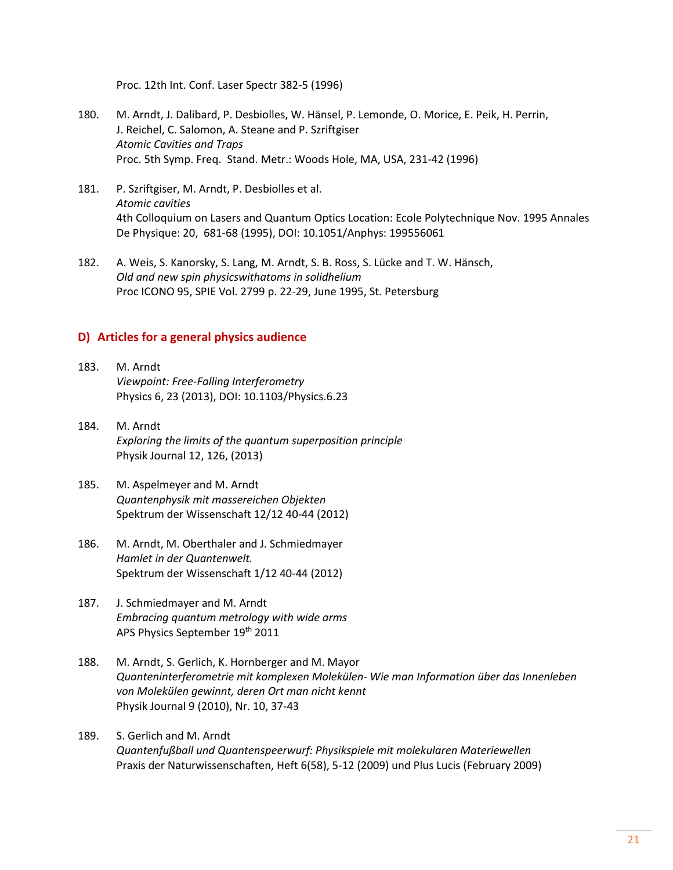Proc. 12th Int. Conf. Laser Spectr 382-5 (1996)

- 180. M. Arndt, J. Dalibard, P. Desbiolles, W. Hänsel, P. Lemonde, O. Morice, E. Peik, H. Perrin, J. Reichel, C. Salomon, A. Steane and P. Szriftgiser *Atomic Cavities and Traps* Proc. 5th Symp. Freq. Stand. Metr.: Woods Hole, MA, USA, 231-42 (1996)
- 181. P. Szriftgiser, M. Arndt, P. Desbiolles et al. *[Atomic cavities](http://apps.isiknowledge.com/WoS/CIW.cgi?SID=W2KM8@lPcfAg7f9gCe@&Func=Abstract&doc=1/165)* 4th Colloquium on Lasers and Quantum Optics Location: Ecole Polytechnique Nov. 1995 Annales De Physique: 20, 681-68 (1995), DOI: 10.1051/Anphys: 199556061
- 182. A. Weis, S. Kanorsky, S. Lang, M. Arndt, S. B. Ross, S. Lücke and T. W. Hänsch, *Old and new spin physicswithatoms in solidhelium* Proc ICONO 95, SPIE Vol. 2799 p. 22-29, June 1995, St. Petersburg

### **D) Articles for a general physics audience**

- 183. M. Arndt *Viewpoint: Free-Falling Interferometry* Physics 6, 23 (2013), DOI: 10.1103/Physics.6.23
- 184. M. Arndt *Exploring the limits of the quantum superposition principle* Physik Journal 12, 126, (2013)
- 185. M. Aspelmeyer and M. Arndt *Quantenphysik mit massereichen Objekten* Spektrum der Wissenschaft 12/12 40-44 (2012)
- 186. M. Arndt, M. Oberthaler and J. Schmiedmayer *Hamlet in der Quantenwelt.* Spektrum der Wissenschaft 1/12 40-44 (2012)
- 187. J. Schmiedmayer and M. Arndt *Embracing quantum metrology with wide arms* APS Physics September 19th 2011
- 188. M. Arndt, S. Gerlich, K. Hornberger and M. Mayor *Quanteninterferometrie mit komplexen Molekülen- Wie man Information über das Innenleben von Molekülen gewinnt, deren Ort man nicht kennt* Physik Journal 9 (2010), Nr. 10, 37-43
- 189. S. Gerlich and M. Arndt *Quantenfußball und Quantenspeerwurf: Physikspiele mit molekularen Materiewellen* Praxis der Naturwissenschaften, Heft 6(58), 5-12 (2009) und Plus Lucis (February 2009)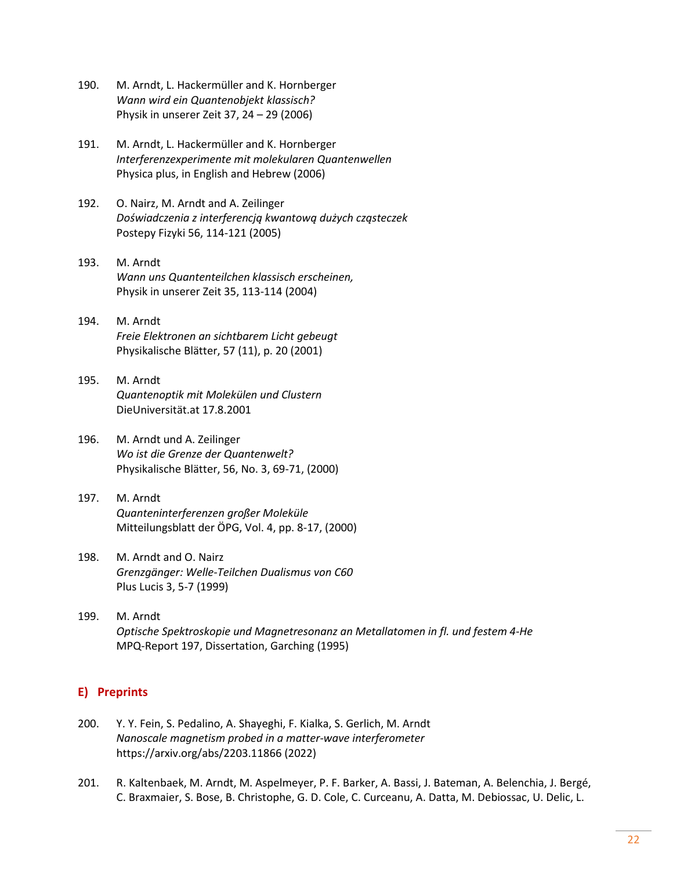- 190. M. Arndt, L. Hackermüller and K. Hornberger *Wann wird ein Quantenobjekt klassisch?* Physik in unserer Zeit 37, 24 – 29 (2006)
- 191. M. Arndt, L. Hackermüller and K. Hornberger *Interferenzexperimente mit molekularen Quantenwellen* Physica plus, in English and Hebrew (2006)
- 192. O. Nairz, M. Arndt and A. Zeilinger *Doświadczenia z interferencją kwantową dużych cząsteczek* Postepy Fizyki 56, 114-121 (2005)
- 193. M. Arndt *Wann uns Quantenteilchen klassisch erscheinen,* Physik in unserer Zeit 35, 113-114 (2004)
- 194. M. Arndt *Freie Elektronen an sichtbarem Licht gebeugt* Physikalische Blätter, 57 (11), p. 20 (2001)
- 195. M. Arndt *Quantenoptik mit Molekülen und Clustern* DieUniversität.at 17.8.2001
- 196. M. Arndt und A. Zeilinger *Wo ist die Grenze der Quantenwelt?* Physikalische Blätter, 56, No. 3, 69-71, (2000)
- 197. M. Arndt *Quanteninterferenzen großer Moleküle* Mitteilungsblatt der ÖPG, Vol. 4, pp. 8-17, (2000)
- 198. M. Arndt and O. Nairz *Grenzgänger: Welle-Teilchen Dualismus von C60* Plus Lucis 3, 5-7 (1999)
- 199. M. Arndt *Optische Spektroskopie und Magnetresonanz an Metallatomen in fl. und festem 4-He*  MPQ-Report 197, Dissertation, Garching (1995)

## **E) Preprints**

- 200. Y. Y. Fein, S. Pedalino, A. Shayeghi, F. Kialka, S. Gerlich, M. Arndt *Nanoscale magnetism probed in a matter-wave interferometer* https://arxiv.org/abs/2203.11866 (2022)
- 201. R. Kaltenbaek, M. Arndt, M. Aspelmeyer, P. F. Barker, A. Bassi, J. Bateman, A. Belenchia, J. Bergé, C. Braxmaier, S. Bose, B. Christophe, G. D. Cole, C. Curceanu, A. Datta, M. Debiossac, U. Delic, L.